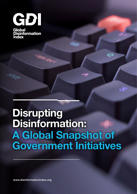

# Disrupting Disinformation: A Global Snapshot of Government Initiatives

[www.disinformationindex.org](https://disinformationindex.org/)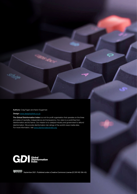Authors: Craig Fagan and Aaron Sugarman

Design: [www.designbythink.co.za](https://www.designbythink.co.za)

The Global Disinformation Index is a not-for-profit organisation that operates on the three principles of neutrality, independence and transparency. Our vision is a world free from disinformation and its harms. Our mission is to catalyse industry and government to defund disinformation. We provide disinformation risk ratings of the world's news media sites. For more information, visit [www.disinformationindex.org.](https://disinformationindex.org/)



 $\bigcirc$ September 2021. Published under a Creative Commons License (CC BY-NC-SA 4.0)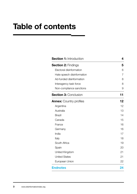## Table of contents

| <b>Section 1: Introduction</b> | 4              |
|--------------------------------|----------------|
| <b>Section 2: Findings</b>     | 5              |
| Electoral disinformation       | 6              |
| Hate speech disinformation     | $\overline{7}$ |
| Ad-funded disinformation       | 8              |
| Interagency task force         | 8              |
| Non-compliance sanctions       | 9              |
| <b>Section 3: Conclusion</b>   | 11             |
| <b>Annex:</b> Country profiles | 12             |
| Argentina                      | 12             |
| Australia                      | 13             |
| <b>Brazil</b>                  | 14             |
| Canada                         | 15             |
| France                         | 16             |
| Germany                        | 16             |
| India                          | 17             |
| Italy                          | 18             |
| South Africa                   | 19             |
| Spain                          | 20             |
| United Kingdom                 | 21             |
| <b>United States</b>           | 21             |
| European Union                 | 22             |
| <b>Endnotes</b>                | 24             |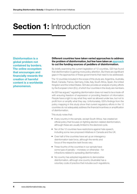## Section 1: Introduction

Disinformation is a global problem not contained by borders. The online ecosystem that encourages and financially rewards the creation of harmful content is a worldwide phenomenon.

#### Different countries have taken varied approaches to address the problem of disinformation, but few have taken an [approach](https://disinformationindex.org/wp-content/uploads/2019/05/GDI_Report_Screen_AW2.pdf) to cut the funding sources of peddlers of disinformation.

By briefly examining the current legislation of 12 countries, GDI has found that disinformation is gaining more policy attention. But there are significant gaps in the approaches of these governments that need to be addressed.

The 12 countries included in the scope of this study are: Argentina, Australia, Brazil, Canada, France, Germany, India, Italy, South Africa, Spain, the United Kingdom and the United States. GDI also provides an analysis of policy efforts by the European Union (EU), of which four countries in the study are members.

As GDI has argued,<sup>1</sup> regulating disinformation does not need to be a trade-off with ensuring freedom of expression or providing freedom of information. People have a right to say what they want as allowed under law, but not to profit from or amplify what they say. Unfortunately, GDI's findings from the policy mapping in this study show that current regulatory efforts in the 12 countries do not adequately address the financial incentives or amplification of disinformation.

This study notes that:

- Every country in the sample, except South Africa, has created an official policy that focuses on fighting election-related disinformation, although these are usually limited to the electoral cycle.
- Ten of the 12 countries have restrictions against hate speech, including some new proposed initiatives in Canada and the UK.
- Over half of the countries have set up an interagency disinformation task force, although the remits and focus of the respective task forces vary.
- Three-fourths of the countries in our sample have some type of penalty – monetary or otherwise – for infractions related to spreading disinformation.
- No country has adopted regulations to demonetise disinformation, although one country (Australia) has a voluntary code of practice that includes such regulations.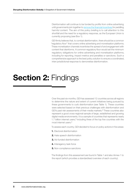Disinformation will continue to be funded by profits from online advertising until governments join together to [remove the financial incentives](https://disinformationindex.org/wp-content/uploads/2019/05/GDI_Report_Screen_AW2.pdf) for peddling harmful content. The aim of this policy briefing is to call attention to this shortfall and the need for a regulatory response, as the European Union is currently proposing (see Box 1).

GDI firmly believes that, to combat disinformation, there should be a common "regulatory floor" that covers online advertising and monetisation platforms. These monetisation channels incentivise the spread of and engagement with content that disinforms. A common regulatory floor would set the minimum regulatory obligations for online advertising and monetisation platforms, including for reporting, impact metrics and penalties or sanctions. Such a comprehensive approach is the best policy solution to ensure a coordinated, inter-jurisdictional response to demonetise disinformation.

## **Section 2: Findings**

Over the past six months, GDI has assessed 12 countries across all regions to determine the nature and extent of current initiatives being pursued by these governments to curb disinformation (see Table 1). These countries were selected based on their previous challenges with disinformation and GDI's past risk assessments of their media markets.2 These countries also represent a good cross-regional sample of large, established and growing digital media environments. It is a sample of countries that represents nearly 1.7 billion internet users,<sup>3</sup> including three of the top five countries with the most internet users.4

To assess each country, GDI decided to focus on policy actions in five areas:

- 1. Electoral disinformation
- 2. Hate speech disinformation
- 3. Ad-funded disinformation
- 4. Interagency task force
- **5.** Non-compliance sanctions

The findings from this assessment are found in Table 1 and also Annex 1 to the report (which provides a standardised overview of each country).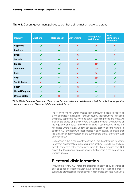| <b>Country</b>        | <b>Elections</b>          | <b>Hate speech</b>        | <b>Advertising</b>        | <b>Interagency</b><br>task force | Non-<br>compliance<br><b>sanctions</b> |
|-----------------------|---------------------------|---------------------------|---------------------------|----------------------------------|----------------------------------------|
|                       |                           | $\boldsymbol{\mathsf{x}}$ | $\boldsymbol{\mathsf{x}}$ |                                  | $\boldsymbol{\mathsf{x}}$              |
| <b>Argentina</b>      | $\checkmark$              |                           |                           | $\boldsymbol{\times}$            |                                        |
| <b>Australia</b>      | $\checkmark$              | $\checkmark$              | $\checkmark$              | $\checkmark$                     | $\checkmark$                           |
| <b>Brazil</b>         | $\checkmark$              | $\checkmark$              | $\boldsymbol{\mathsf{x}}$ | $\checkmark$                     | $\boldsymbol{\mathsf{x}}$              |
| Canada                | $\checkmark$              | $\checkmark$              | $\boldsymbol{\mathsf{x}}$ | $\checkmark$                     | $\checkmark$                           |
| <b>France</b>         | $\checkmark$              | $\checkmark$              | $\boldsymbol{\mathsf{x}}$ | $\mathsf{X}^{\star}$             | $\checkmark$                           |
| Germany               | $\checkmark$              | $\checkmark$              | $\boldsymbol{\mathsf{x}}$ | $X^*$                            | $\checkmark$                           |
| India                 | $\checkmark$              | $\checkmark$              | $\boldsymbol{\mathsf{x}}$ | $\boldsymbol{\mathsf{x}}$        | $\checkmark$                           |
| <b>Italy</b>          | $\checkmark$              | $\checkmark$              | $\overline{\mathbf{x}}$   | $\mathbf{X}^{\star}$             | $\checkmark$                           |
| <b>South Africa</b>   | $\boldsymbol{\mathsf{x}}$ | $\checkmark$              | $\boldsymbol{\mathsf{x}}$ | $\checkmark$                     | $\checkmark$                           |
| <b>Spain</b>          | $\checkmark$              | $\checkmark$              | $\boldsymbol{\mathsf{x}}$ | $\checkmark$                     | $\boldsymbol{\mathsf{x}}$              |
| <b>United Kingdom</b> | $\checkmark$              | $\checkmark$              | $\boldsymbol{\mathsf{x}}$ | $\checkmark$                     | $\checkmark$                           |
| <b>United States</b>  | $\checkmark$              | $\boldsymbol{\mathsf{x}}$ | $\boldsymbol{\mathsf{x}}$ | $\checkmark$                     | $\boldsymbol{\mathsf{x}}$              |

#### Table 1. Current government policies to combat disinformation: coverage areas

*\*Note: While Germany, France and Italy do not have an individual disinformation task force for their respective countries, there is an EU-wide disinformation task force.5*

> The following findings were compiled from a review of these metrics across all the countries in the sample. For each country, the institutions, legislation and policy gaps were reviewed as part of assessing these five areas. All findings are based on a desk review of existing research and analysis of the regulatory and policy frameworks in place in each country. These are referenced where relevant under each country section (see the Annex). In addition, GDI engaged with local experts in each country to ensure that this overview correctly represents the current state of play of country-level policy actions.6

> GDI considers this cross-country analysis a useful contribution to efforts to combat disinformation. While doing this analysis, GDI did not find any recently completed policy comparisons similar to what is provided here. GDI hopes that this succinct analysis helps to further more cross-comparison work in this area.

## Electoral disinformation

Through this review, GDI noted the existence in nearly all 12 countries of policies to address disinformation in an electoral cycle, including prior to, during and after elections. We found that in all countries, except South Africa,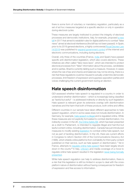there is some form of voluntary or mandatory regulation, particularly as a set of ad hoc measures targeted at a specific election or only in operation during electoral cycles.

These measures are largely instituted to protect the integrity of electoral processes and democratic institutions. Italy, for example, proposed [a new](http://www.senato.it/japp/bgt/showdoc/17/DDLPRES/0/1006504/index.html?part=ddlpres_ddlpres1)  [bill](http://www.senato.it/japp/bgt/showdoc/17/DDLPRES/0/1006504/index.html?part=ddlpres_ddlpres1) in 2017 that aimed to establish rules for digital platforms to combat "false news" aimed at electoral interference (the bill has not been passed). In Spain, prior to its 2019 general elections, a highly controversia[l Royal Decree-Law](https://edri.org/our-work/spain-new-law-threatens-internet-freedoms/)  [14/2019](https://edri.org/our-work/spain-new-law-threatens-internet-freedoms/) was published to [expand government control](https://edri.org/our-work/spain-new-law-threatens-internet-freedoms/) of the internet and electronic communications, including during elections.

Overall, only three of the countries (France, [India](https://www.npr.org/2021/06/10/1004387255/india-and-tech-companies-clash-over-censorship-privacy-and-digital-colonialism?t=1624638438211) and Spain) have passed specific anti-disinformation legislation, which also covers elections. These initiatives are often called "fake news laws", which are intended to protect electoral processes from "false" information about the process, candidates and/or parties. Brazil is currently tabling such a measure. However, in cases where the rule of law and checks and balances may not be strong, there is a risk that these regulations could be misused to actually undermine democratic processes, limit freedom of expression and suppress opposition parties and voices challenging the current government during an election.

## Hate speech disinformation

GDI assessed whether hate speech is regulated in a country in order to understand whether disinformation – which is increasingly being classified as "lawful but awful" – is addressed indirectly or directly by such legislation. Hate speech is relevant given its extensive overlap with disinformation narratives and the harm that both of these produce, both online and offline.

Different countries in our sample have taken different approaches to hate speech regulation, which in some cases does not include disinformation. In Germany, for example, [hate speech is illegal a](https://www.bbc.com/news/technology-42510868)nd is regulated online. While these measures are not explicitly formulated to combat disinformation, it is indirectly covered. In the UK, [the Online Safety Bill](https://assets.publishing.service.gov.uk/government/uploads/system/uploads/attachment_data/file/985033/Draft_Online_Safety_Bill_Bookmarked.pdf), which has been presented as a draft to Parliament, is intended to regulate illegal and harmful but lawful content online, including disinformation. Canada has just introduced measures to modify existing [legislation](https://www.newswire.ca/news-releases/government-of-canada-takes-action-to-protect-canadians-against-hate-speech-and-hate-crimes-887560092.html) to combat online hate speech, but not as part of tackling disinformation. In the US, there are current efforts in Congress to reform Section 230 of the Communications Decency Act (1996), which shields online platforms from civil liability for third-party content published on their service, such as hate speech or disinformation.<sup>7</sup> Yet in France, attempts to [regulate online hate speech](https://www.assemblee-nationale.fr/dyn/actualites-accueil-hub/ppl-visant-a-lutter-contre-les-contenus-haineux-sur-internet-adoption-en-lecture-definitive) have been largely struck down in the courts.<sup>8</sup> In Italy, [criticism](https://www.valigiablu.it/odio-disinformazione-anonimato/) and media coverage of a move to regulate online hate speech resulted in the legislation never being formally [presented.](https://freedomhouse.org/country/italy/freedom-net/2020)

While hate speech regulation can help to address disinformation, there is a risk that this legislation is still too limited in scope to deal with the crossplatform nature of disinformation without having consequences for freedom of expression and free access to information.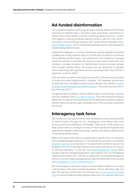### Ad-funded disinformation

GDI examined whether existing government policies address the financial incentives of disinformation, including online advertising. Advertising on disinformation sites results in harmful content generating revenue. Content that triggers a strong emotional reaction tends to get the most clicks – and earns more advertising revenue. GDI conservatively estimates that [a](https://disinformationindex.org/wp-content/uploads/2019/09/GDI_Ad-tech_Report_Screen_AW16.pdf)  [quarter billion dollars'](https://disinformationindex.org/wp-content/uploads/2019/09/GDI_Ad-tech_Report_Screen_AW16.pdf) worth of advertising globally goes to sites flagged as disseminating disinformation.

Despite this challenge, no country currently has specific regulations aimed at curtailing the funding streams that act as financial incentives for producing and publishing disinformation. The overall lack of this regulatory coverage across the sample of countries will continue to leave open a back door and provide a monetary incentive for disinformation actors to create, spread and monetise disinformation. No country has yet attempted to regulate online advertising (although there are some proposed bills in the US that, if approved, would do that).9

Only one of the countries in this study has some form of limited voluntary policy to tackle ad-funded disinformation: Australia. The Australian government worked with the local digital industry body to develop and adopt a [Code of](https://digi.org.au/disinformation-code/)  [Practice on Disinformation and Misinformation](https://digi.org.au/disinformation-code/). The code was launched in late February 2021.<sup>10</sup>

The general lack of policies to defund disinformation could change, however, with the updating of the **EU Code of Practice**. This code will require relevant signatories to improve their advertising and ad-placement systems to defund disinformation across the region (including four of the countries covered by this study).

## Interagency task force

GDI looked into how governments were tackling the cross-sectoral nature of disinformation through ad hoc, interagency committees that work across government institutions and bodies. Task forces of this nature can help governments to leverage an array of inter-institutional expertise and approaches needed to effectively design, develop and deliver policies aimed at disrupting disinformation.

Many of the task forces that we studied had a specific focus on elections and combating foreign interference. The Canadian government, for example, [created a task force](https://www.ctvnews.ca/politics/feds-unveil-plan-to-tackle-fake-news-interference-in-2019-election-1.4274273) composed of 12 government bodies to secure the integrity of the 2019 Canadian elections and which will be put into service for all future elections.<sup>11</sup> In the US, the [Global Engagement Center](https://2009-2017.state.gov/r/gec//index.htm) (GEC), housed under the US State Department, was created in 2017 by the National Defense Authorization Act. The GEC is tasked with coordinating interagency efforts to counter foreign propaganda and disinformation (and more recently with [investigating COVID-19 disinformation\)](https://www.state.gov/briefing-with-special-envoy-lea-gabrielle-global-engagement-center-on-disinformation-and-propaganda-related-to-covid-19/).

Still, the interagency task force model to combat disinformation is not in place in all countries in this study, including Argentina, France, Germany, India, and Italy. The German government, for example, has a cross-government task [force](https://dserver.bundestag.de/btd/19/124/1912489.pdf) on hybrid threats (including disinformation) but not a specific task force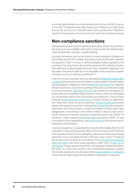to combat disinformation as a hybrid threat (which is how the GEC is set up in the US).12 In Argentina and India, there are no institutions or task forces that are set up to work on disinformation across government institutions (outside of the regulators who look at the tech sector for compliance issues).

### Non-compliance sanctions

GDI assessed whether and how sanctions were being used by the countries in the study as an accountability mechanism to enforce their anti-disinformation measures (whether voluntary or legally binding).

Voluntary frameworks, such as the codes of conduct adopted in Australia and South Africa (and the EU), are fairly new and have only recently been assessed by regulators. When it comes to enforcing legally binding regulations, the countries in this study tend to devolve enforcement to their ministries of justice, their telecommunications regulators and/or their competition regulators. In a few cases, the press bodies also have the ability to issue sanctions against members, such as in Germany and the UK.<sup>13</sup>

In terms of country examples, Germany has tasked [the German Federal Office](https://perma.cc/NLL2-TRBA)  [of Justice](https://perma.cc/NLL2-TRBA) with levying fines for the violation of laws related to disinformation, including platform obligations under the [Network Enforcement Act](https://www.loc.gov/law/help/social-media-disinformation/germany.php) (NetzDG). Similar to Germany, many other countries in this study use their penal code to enforce sanctions. [Argentina's Penal Code o](https://perma.cc/UKU8-JL7N)utlines crimes against the public order and of publicly inciting collective violence, which are punishable by imprisonment and/or fines if the actions are intentional. France's Penal Code has [similar language and sanctions](https://www.legifrance.gouv.fr/loda/id/JORFTEXT000000877119/1999-09-01/), in the form of fines, for defamation and "false news" (when it is done in bad faith). [Brazil's Penal Code](https://perma.cc/3J8J-HHQS) punishes people who falsely accuse others, whereas *Italy's Penal Code also addresses* defamation and imposes fines on those who publish or disseminate "false, exaggerated or tendentious news which is likely to disturb public order". South Africa has imposed temporary measures due to the COVID-19 pandemic. These measures [criminalise fake news](https://www.article19.org/resources/prohibitions-of-false-covid-information-must-be-amended/) about COVID-19, and worryingly to some organisations, also [forbid criticism](https://www.article19.org/resources/prohibitions-of-false-covid-information-must-be-amended/) of the government's response to the pandemic.

In terms of regulators, it is expected that once the Online Safety Bill in the UK is adopted, it will be enforced by the Office of Communications (OFCOM), the UK's regulatory body for the broadcasting, telecommunications and postal industries, to fine companies that fail in their new "duty of care".<sup>14</sup> In the US, the Federal Communications Commission (FCC) [prohibits broadcasting](https://www.fcc.gov/consumers/guides/broadcasting-false-information)  [false information](https://www.fcc.gov/consumers/guides/broadcasting-false-information) that could cause significant public harm. It may act on [complaints](https://www.fcc.gov/consumers/guides/broadcasting-false-information), through sanctions and fines, if broadcasters intentionally distort the news. In France, the country's main broadcasting regulatory agency, the Conseil supérieur de l'audiovisuel (CSA) is [responsible for investigating](https://www.legifrance.gouv.fr/loda/id/JORFTEXT000037847559/) French disinformation and enforcing platform transparency measures.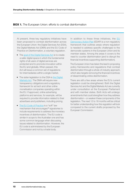#### **BOX 1.** The European Union: efforts to combat disinformation

At present, three key regulatory initiatives have been proposed to combat disinformation across the European Union: the Digital Services Act (DSA), the Digital Markets Act (DMA) and the EU Code of Practice on Disinformation, a voluntary regulation.

- The [goal of the Digital Services Act](https://digital-strategy.ec.europa.eu/en/policies/digital-services-act-package) is to create a safer digital space in which the fundamental rights of all users of digital services are protected and to promote innovation within the EU and globally. When passed, this Act will issue a common set of regulations for intermediaries within a single market.
- The sister legislation to the DSA is the Digital [Markets Act.](https://ec.europa.eu/info/strategy/priorities-2019-2024/europe-fit-digital-age/digital-markets-act-ensuring-fair-and-open-digital-markets_en) The DMA will require new transparency obligations and a regulatory framework for ad tech and other online monetisation companies operating within the EU. If approved, online advertising platforms and services, for example, will be required to provide information related to their advertisers and publishers, including pricing.
- [The EU Code of Practice](https://digital-strategy.ec.europa.eu/en/policies/code-practice-disinformation) is a "soft" law mechanism that encourages<sup>15</sup> signatories to include requirements to address the monetary incentives of disinformation. The EU code is similar in scope to the Australian one and has some common language when discussing issues related to disinformation. However, the EU code is administered by the European Commission and not by a trade body.

In addition to these three initiatives, the [EU](https://ec.europa.eu/commission/presscorner/detail/en/ip_20_2250)  [Democracy Action Plan](https://ec.europa.eu/commission/presscorner/detail/en/ip_20_2250) (EDAP) is a non-regulatory framework that outlines areas where regulation is needed to address specific challenges to the democratic systems in the European Union and its member states. Among the areas it covers is the need to counter disinformation (and to disrupt the financial incentives supporting disinformation).

The European Union has taken the lead in proposing policy frameworks and regulations that combat disinformation through a whole-of-industry approach, which also targets removing the financial incentives of disseminating online disinformation.

There are still a few areas where the EU's current legislation could be strengthened. Both the Digital Services Act and the Digital Markets Act are currently under consultation at the European Parliament and with member states. Both Acts will undergo amendments that could strengthen how they address disinformation – or weaken these components of the legislation. The next 12 to 18 months will be critical for better understanding how this regulation will look compared to the current drafts proposed by the European Commission.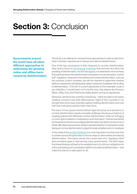## **Section 3: Conclusion**

Governments around the world have all taken different approaches to addressing the growing online and offline harm caused by disinformation. This study is an attempt to compare these approaches in order to learn from other countries' experiences to disrupt and defund disinformation.

One of the key conclusions is that measures to counter disinformation often lack a focus on [the financial incentives](https://disinformationindex.org/wp-content/uploads/2019/05/GDI_Report_Screen_AW2.pdf) that promote and allow the peddling of disinformation. As GDI has argued, it is essential to remove these financial incentives if the disinformation ecosystem is to be disrupted. Current "soft" regulatory measures that address ad-funded disinformation, such as the voluntary code in Australia, are still too nascent to determine whether platform signatories will adequately adopt measures to address the funding of disinformation. If the list of current signatories to the Australian code is any indication, it would seem not to be the case. Key players like Amazon, Stripe, eBay, Etsy, and PayPal are visibly absent among its signatories.

Moreover, sanctions are currently a mixed bag – either too light or too harsh, creating concerns over their effectiveness. Eight of the countries in our sample have some type of penalty against creating disinformation and over half have instituted a disinformation task force.

The issue of how governments institute legal structures and sanctions to combat disinformation signals a broader challenge: the tenuous balance of creating policies that effectively combat disinformation while not infringing on one's right to freedom of expression and information. Policies that tackle the financial incentives encouraging disinformation are able to avoid some of these difficulties because they respect people's freedom of expression while taking aim at how disinformation is algorithmically amplified and/or monetised.

In the midst of the [current infodemic](https://disinformationindex.org/wp-content/uploads/2020/07/GDI_Ad-funded-COVID-19-Disinformation-1.pdf) it is more important now than ever that countries across the globe take common steps to demonetise and disrupt disinformation. This report shows the current lack of a "regulatory floor" and consistent gaps in and among many governments. The GDI hopes that these findings will lead to the establishment of minimum obligations for online advertising and monetisation platforms to defund disinformation – and make the internet a safer place for all.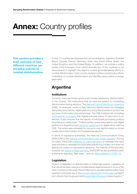## **Annex: Country profiles**

This section provides a brief overview of how different countries are pursuing policies to combat disinformation.

In total, 12 countries are assessed from across all regions: Argentina, Australia, Brazil, Canada, France, Germany, India, Italy, South Africa, Spain, the United Kingdom and the United States. In addition, we include a policy profile of the European Union (which includes four of the countries in our assessment) to highlight the region's current groundbreaking efforts to combat disinformation. Each country analysis outlines current policy efforts undertaken to combat disinformation and identifies areas where coverage gaps exist.

### Argentina

#### **Institutions**

Currently, there are limited government bodies addressing disinformation in the country. The institutions that do exist are related to combating disinformation during elections. The [National Court of Elections in Argentina](https://perma.cc/J9GZ-MCL6) (CNE), for example, works to fight electoral disinformation by engaging with press associations, digital platforms and political parties to protect the accuracy of information they disseminate. The CNE is tasked with circulating [informational campaigns t](https://www.argentina.gob.ar/normativa/nacional/ley-27504-323729/texto)hat digitally educate voters 30 days prior to an election. It also ensures that the identity of individuals purchasing political advertising is made public. Political parties, press associations and digital platforms in Argentina have [signed an agreement o](https://perma.cc/J9GZ-MCL6)n digital ethics with the CNE. This action was motivated by concerns over disinformation on social media before the October 2019 presidential election.

In terms of regulatory authorities, the National Communications Entity (ENACOM) is the [national communications and media regulator.](https://www.cronista.com/apertura-negocio/empresas/Enacom-las-prioridades-conectividad-e-igualar-ventajas-competitivas-20200205-0010.html) Among its duties, ENACOM [publishes an online repository o](https://www.enacom.gob.ar/bloqueo-de-sitios-web_p3286)f websites that have been blocked or reinstated (or both) after judicial court orders, but does not specify the criteria or rules behind decisions. The majority of blocked sites, however, are [related to illegal gambling.](https://freedomhouse.org/country/argentina/freedom-net/2020) ENACOM has also published public statements regarding "fake news", such as [claims related to COVID-19.](https://www.enacom.gob.ar/institucional/comunicado--divulgacion-de-informacion-falsa_n2226)

#### Legislation

There is no legislation on disinformation or online hate speech. Legislation of that nature has been used as a complementary legal framework in some of the other countries in this study. Recent attempts to penalise disinformation have sparked controversy due to th[e incorrect assessment of information](https://freedomhouse.org/country/argentina/freedom-net/2020) as false<sup>16</sup> and criticism that the government is [potentially infringing](https://amnistia.org.ar/wp-content/uploads/delightful-downloads/2020/04/DOC-_AIAR-_PJI-_21042020.pdf) on press freedom.<sup>17</sup>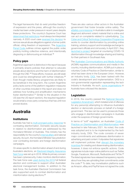The legal frameworks that do exist prioritise freedom of expression and the press, although the country's media has been under pressure in recent years despite these protections. The country's Supreme Court has [determined that restrictions](https://perma.cc/5C6X-67WA) must always be interpreted narrowly. A 2020 court case [reversed the decision](https://www.diariojudicial.com/nota/85455/civil-y-comercial/google-no-borra-informacion-publica.html) to remove sexual abuse allegations against a former public official, citing freedom of expression. The [Argentine](https://perma.cc/UKU8-JL7N)  [Penal Code](https://perma.cc/UKU8-JL7N) outlines crimes against the public order, publicly inciting collective violence, and intentionally disgracing or dishonouring an individual.<sup>18</sup>

#### Policy gaps

Argentina's approach is distinctive in this report because it primarily enacts policies that attempt to educate people about elections and the harm of disinformation through the CNE.19 These efforts, however, are still weak and could be strengthened with further initiatives.<sup>20</sup> Even though media literacy programmes are likely to be beneficial in the long-term, the current Argentine policy lacks some of the platform-regulation measures of other countries included in this report and does not address how funding and amplification mechanisms foster disinformation.21 Similar to the situation in the US (see the US report section), the required regulation would entail a cross-party consensus that has until now proved elusive.

## Australia

#### **Institutions**

Australia has had a [multi-pronged policy response](https://www.aph.gov.au/About_Parliament/Parliamentary_Departments/Parliamentary_Library/pubs/BriefingBook46p/FakeNews) to combating disinformation. Domestic security issues in relation to disinformation are addressed by the Homeland Minister of Australia. This ministry has the responsibility for the country's [internal affairs](https://web.archive.org/web/20170718050420/http://www.pm.gov.au/media/2017-07-18/strong-and-secure-australia) and national security. As such, the Homeland Minister has jurisdiction over combating domestic and foreign disinformation campaigns.

On areas specific to disinformation ahead of and during Australia's elections, an [Electoral Integrity Assurance](https://www.aec.gov.au/elections/electoral-advertising/electoral-integrity.htm)  [Task Force](https://www.aec.gov.au/elections/electoral-advertising/electoral-integrity.htm) was set up in 2018. While its primary concern has been cybersecurity, it also monitors disinformation. The task force was [used during the 2019](https://www.aec.gov.au/elections/electoral-advertising/electoral-integrity.htm) full federal election and continues to support other Australian electoral management bodies. In addition to the task force, the Australian Electoral Commission has also supported work to combat disinformation and misinformation during elections.22

There are also various other actors in the Australian government that foster broader online safety. The [eSafety commissioner](https://www.esafety.gov.au/about-us/who-we-are/our-legislative-functions) in Australia is able to investigate illegal and abhorrent violent material that is online and can act on complaints related to cyberbullying. [The](https://www.internationalcybertech.gov.au/our-work/security/disinformation-misinformation)  [Cyber and Critical Technology Cooperation Programme](https://www.internationalcybertech.gov.au/our-work/security/disinformation-misinformation)  works to counter disinformation by providing online training, advisory support and knowledge exchange to government officials and civil society. In April 2021, the[y](https://www.foreignminister.gov.au/minister/marise-payne/speech/launch-international-cyber-and-critical-technology-engagement-strategy) [launched a project](https://www.foreignminister.gov.au/minister/marise-payne/speech/launch-international-cyber-and-critical-technology-engagement-strategy) targeted at countering COVID-19 disinformation through knowledge-sharing and training for their partners in Southeast Asia.

The [Australian Communications and Media Authority](https://www.acma.gov.au)  (ACMA) regulates communications and media in the country, including disinformation. ACMA put in place a voluntary Code of Practice on Disinformation, similar to what has been done in the European Union. However, an industry body, **[DIGI](https://digi.org.au/digitalopportunity/)**, has been tasked with the code's development and implementation. DIGI is a non-governmental organisation representing the tech industry in Australia. As such, [some organisations](https://au.reset.tech/news/big-tech-s-australian-code-of-practice-on-disinformation-is-both-pointless-and-shameless/) in Australia have criticised this decision.

#### **Legislation**

In 2018, the country passed the **National Security** [Legislation Amendment,](https://www.legislation.gov.au/Details/C2018C00506) which instated a list of offences for any person(s) attempting to influence Australia's election or democratic process on behalf of a foreign government. This law can be used to prosecute those who engage in disinformation campaigns in Australia under the auspices of foreign governments.

In terms of "soft" regulation, an Australian Code of [Practice on Disinformation and Misinformation](https://digi.org.au/disinformation-code/) was launched in late February 2021. As noted, the code was adopted and is to be implemented by the tech industry body, DIGI. The code consists of seven major commitments and addresses disinformation in advertising and paid content. It stipulates that signatories will implement policies that disrupt the monetary [incentives](https://digi.org.au/wp-content/uploads/2021/02/Australian-Code-of-Practice-on-Disinformation-and-Misinformation-FINAL-PDF-Feb-22-2021.pdf) for creating and disseminating disinformation; however, it does not enforce specific actions. Code signatories include major online platforms such as Twitter, Google, Facebook, Microsoft, Redbubble and TikTok.23 The listed signatories have released transparency reports about how they are upholding their commitments under the code.<sup>24</sup> To date, key monetisation platforms such as Amazon, eBay and PayPal have not signed the code.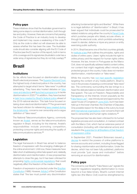#### Policy gaps

These initiatives show that the Australian government is taking some steps to combat disinformation, both through law and policy. However, there are concerns that passing the Code of Practice to an industry body to develop and implement may cause a weakening of the code.<sup>25</sup> Only as the code is rolled out will observers be able to assess whether this has been the case. The Australian code should also consider aligning with the EU Code of Practice (see the EU section of this report), both in terms of its coverage and its signatories (Australia's code has a wider array of signatories but they do not fully overlap).<sup>26</sup>

## Brazil

#### **Institutions**

So far, efforts have focused on disinformation during Brazil's electoral processes. The [Superior Electoral Court](https://english.tse.jus.br/the-electoral-justice/the-superior-electoral-court/composition-of-the-court), the highest body of electoral justice in the country, has attempted to target what it terms "fake news" in political advertising. They have also hosted debates on fake [news and elections](https://english.tse.jus.br/noticias-tse-en/2019/Maio/tse-books-another-auditorium-for-those-interested-on-the-international-seminar-on-fake-news-and-elections) and [launched a programme](https://english.tse.jus.br/noticias-tse-en/2019/Setembro/tse-launches-the-program-against-disinformation-focused-on-the-2020-elections) to tackle disinformation in 2020.27 In addition, they have backed a [task force created by Brazil's federal police](https://chargedaffairs.org/brazils-fake-news-problem/) ahead of the 2018 national election. This task force focused on taking down electoral disinformation.<sup>28</sup> The government has faced criticism for referencing [laws created during](https://www.bloomberg.com/news/articles/2018-01-09/fake-news-risks-plaguing-brazil-elections-top-fact-checkers-say)  [the dictatorship](https://www.bloomberg.com/news/articles/2018-01-09/fake-news-risks-plaguing-brazil-elections-top-fact-checkers-say), concerns over censorship and a vague definition of "fake news".

The National Telecommunications Agency, commonly known as [Anatel](https://www.gov.br/anatel/pt-br/regulado/agenda-regulatoria/2021-2022), serves as the telecommunications regulator in Brazil, including for the internet. Anatel's responsibilities include promoting competition, protecting consumer rights and ensuring the quality of telecommunications services.<sup>29</sup>

#### Legislation

The legal framework in Brazil has aimed to balance freedom of expression with the emerging challenges of the online environment. Until now, these measures have fallen short of addressing online hate speech and, relatedly, disinformation and misinformation. A new proposed law attempts to close this gap, but it has been criticised for proposing [highly controversial regulations](https://edemocracia.camara.leg.br/wikilegis/p/12-lei-brasileira-de-liberdade-responsabilidade-e-transparencia-na-internet/) that could negatively affect the freedom of the media in Brazil.

Freedom of expression is protected under the [Brazilian](https://perma.cc/5WJR-TFN4)  [Constitution](https://perma.cc/5WJR-TFN4) (1988). However, [Article 5](https://perma.cc/5WJR-TFN4) of the Constitution states that "the law must punish any discrimination

attacking fundamental rights and liberties". While there is no legal definition of "disinformation" in Brazil, it has been argued that individuals could be prosecuted for related violations using either the country's [Penal Code](https://perma.cc/3J8J-HHQS), which punishes people who falsely accuse others, or through the electoral code, which prohibits advertising meant to slander, defame or injure any person or entity exercising public authority.

In 2014, Brazil became one of the first countries globally to [institute a law](http://www.planalto.gov.br/ccivil_03/_ato2011-2014/2014/lei/l12965.htm) that outlines the principles, rights and duties of online users. Users' rights include the right to online privacy and the respect for human rights online. However, the law, known in Portuguese as the Marco Civil, does not specifically address hateful content online, nor content that might negatively affect minority and protected groups in the country. It also does not mention disinformation, misinformation or "fake news".

While the country has [not had specific legislation](https://www.loc.gov/law/help/fake-news/brazil.php) targeting the content of any media platform, Brazil is now in the process of passing a controversial "fake news" law. The controversy surrounding the law brings to a head the delicate balance between disinformation and free speech. The Law on Freedom, Responsibility and Transparency on the Internet, known popularly as the "[Fake News Law](https://edemocracia.camara.leg.br/wikilegis/p/12-lei-brasileira-de-liberdade-responsabilidade-e-transparencia-na-internet/)", was introduced and approved by the upper house of Congress in [June 2020,](https://theglobalamericans.org/2021/01/brazil-democracy-and-the-fake-news-bill/) but it has been held up in the lower chamber, the Chamber of Deputies. One possible reason for the delay is the outcry by local and [international organisations](https://www.technologyreview.com/2020/09/10/1008254/brazil-fake-news-bill-misinformation-opinion/) over concerns that it will lead to censorship and human rights violations.30

The proposed law has also been criticised for its hurried legislative process and consultation, in marked contrast with the Marco Civil, which had an extensive period of consultation (including with international actors) and resulted in the [guarantee for all Brazilians of their freedom](https://www.technologyreview.com/2020/09/10/1008254/brazil-fake-news-bill-misinformation-opinion/)  [of expression online.](https://www.technologyreview.com/2020/09/10/1008254/brazil-fake-news-bill-misinformation-opinion/)

In September 2021, President Bolsonaro issued a [decree](https://www.bbc.com/news/world-latin-america-58470093) to restrict the powers of online platforms to remove accounts and content, including those flagged for sharing misinformation and disinformation. Under the decree, which has not been fully published, platforms must provide "just cause and motivation" before removing an account for disinformation.

#### Policy gaps

The concerns over Brazil's "Fake News Law" signals the need for regulations targeting disinformation to move beyond a true–false binary. Brazil's current internet rights law (the Marco Civil) could be strengthened by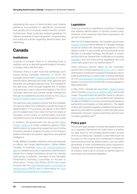addressing the issue of disinformation and holding platforms accountable for algorithmic processes that amplify and monetarily reward harmful content. Furthermore, Brazil could also institute guidelines for relevant companies to have transparent, comprehensive and enforced policies regarding disinformation and advertising.

## Canada

#### **Institutions**

Currently in Canada, there is no standing body or institution set up to deal with general threats of domestic or foreign-driven disinformation.

However, there is a task force that addresses such issues during Canadian elections. In 2019, the Canadian government [created a task force](https://www.ctvnews.ca/politics/feds-unveil-plan-to-tackle-fake-news-interference-in-2019-election-1.4274273) to monitor disinformation attempts and notify other agencies and the public accordingly at election time. The mandate of this task force, which brought together the 12 bodies of government, was to secure the integrity of the 2019 Canadian elections and prevent foreign interference through an established process known as the [Critical](https://www.canada.ca/en/democratic-institutions/services/protecting-democracy/critical-election-incident-public-protocol.html)  [Election Incident Public Protocol](https://www.canada.ca/en/democratic-institutions/services/protecting-democracy/critical-election-incident-public-protocol.html) (CEIPP).<sup>31</sup>

The task force was created to ensure that the Canadian civil service rather than politicians oversee the issue of disinformation.32 The actions and efforts of the CEIPP and its related task force have formed the basis of Canada's current policy on disinformation and both mechanisms are to be activated during electoral cycles.

In addition, the government has set up the Digital [Citizen Initiative](https://www.canada.ca/en/canadian-heritage/services/online-disinformation.html) to foster resilience against online disinformation by supporting researchers and funding innovative research projects focused on promoting a healthy information ecosystem, algorithms and artificial intelligence.

Finally, different Canadian institutions work internationally on efforts that target disinformation. Global Affairs Canada, for example, [runs a G7 mutual assistance](https://www.international.gc.ca/world-monde/issues_development-enjeux_developpement/human_rights-droits_homme/rrm-mrr.aspx?lang=eng)  [team](https://www.international.gc.ca/world-monde/issues_development-enjeux_developpement/human_rights-droits_homme/rrm-mrr.aspx?lang=eng) to mobilise resources in response to disinformation attacks from foreign interference across the member state group. In addition, members of the Canadian Parliament's Standing Committee on Access to Information, Privacy and Ethics (ETHI) have been involved with the [international grand committee on](https://www.cigionline.org/igc/)  [disinformation](https://www.cigionline.org/igc/) (IGCD) and in advocating for [more](https://www.ourcommons.ca/DocumentViewer/en/42-1/ETHI/report-17/page-27)  [advertising and algorithmic transparency.](https://www.ourcommons.ca/DocumentViewer/en/42-1/ETHI/report-17/page-27)

#### Legislation

There are currently no regulations or policies in Canada that address disinformation or harmful content online. However, some measures have been proposed to set up such a framework.

After the 2019 federal election, the Canadian governmen[t](https://pm.gc.ca/en/mandate-letters/2019/12/13/minister-canadian-heritage-mandate-letter) [issued a mandate](https://pm.gc.ca/en/mandate-letters/2019/12/13/minister-canadian-heritage-mandate-letter) that the Minister of Canadian Heritage would be tasked with developing regulations on hate speech content. It was recently announced jointly by the Minister of Canadian Heritage, the Minister of Justice and the Attorney General that modifications to existing [legislation](https://www.newswire.ca/news-releases/government-of-canada-takes-action-to-protect-canadians-against-hate-speech-and-hate-crimes-887560092.html) and new forthcoming regulations will cover online hate speech but not disinformation.<sup>33</sup>

Other previous actions taken by the Canadian government include passing **Bill-C76 in 2018**, which attempted to implement increased transparency about political advertising on social media. However, elements of C76 [were declared unconstitutional](https://www.cbc.ca/news/politics/elections-misinformation-court-free-speech-1.5948463) because of freespeech concerns and how the bill would be applied to false statements.

In May 2020, Canada also launched [a digital charter](https://www.ic.gc.ca/eic/site/062.nsf/eng/h_00108.html), which include[s provisions on disinformation](https://www.canada.ca/en/democratic-institutions/services/protecting-democracy.html) and social media. The government has used the charter to call upon [social media companies](https://www.canada.ca/en/democratic-institutions/news/2019/01/encouraging-social-media-platforms-to-act.html) such as Microsoft, Facebook, Google and Twitter to commit to promoting transparency, authenticity and integrity on their platforms. The digital charter also requests regularly published transparency reports by the platforms (similar to what has been done elsewhere). However, it seems that these reports have not been published yet.34

#### Policy gaps

The current legal updates to tackle hate speech and set up a regulatory framework for online harm is positive, but falls short for not including disinformation as part of its focus. Moreover, Canada's current efforts are not focused on the funding and monetisation networks that incentivise and fuel disinformation, such as online advertising. A more comprehensive policy response in Canada could include embedding such measures in an industry-wide code of conduct on disinformation to accompany the proposed legislation.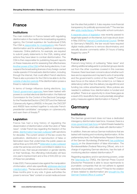## France

#### **Institutions**

The main institution in France tasked with regulating disinformation in the media is the broadcasting regulatory agency, the Conseil supérieur de l'audiovisuel (CSA). The CSA i[s responsible for investigations](https://www.legifrance.gouv.fr/loda/id/JORFTEXT000037847559/) into French disinformation and for enforcing platform transparency measures. Online platforms, for example, are required to submit yearly statements to the CSA, stating what actions they have taken to combat disinformation. The CSA is then responsible for publishing frequent reports on these measures and for assessing their effectiveness. [Another power of the CSA i](https://www.legifrance.gouv.fr/loda/id/LEGITEXT000006068930/)s that during elections, it can suspend the broadcasting licences of any foreign-owned media operator if it broadcasts disinformation, including through the internet, that could affect French elections. There is also a provision for the CSA to be able to do this [outside of election periods](https://www.legifrance.gouv.fr/loda/id/LEGITEXT000006068930/) if the disinformation poses a threat to national interests.

In terms of foreign influence during elections, two [French government agencies](https://perma.cc/8EMG-QP65) have been tasked with powers to combat electoral disinformation: the National Commission for the Control of the Electoral Campaign for the Presidential Election (CNCCEP) and the National Cybersecurity Agency (ANSSI). In the past, the CNCCEP and ANSSI have worked together to educate French presidential candidates' campaigns on cybersecurity and warn them of threats.35

#### Legislation

France has had a long history of regulating the dissemination of disinformation under the rubric of "false news". Under French law regarding the freedom of the press, [disinformation has been outlawed](https://www.legifrance.gouv.fr/loda/id/JORFTEXT000000877119/1999-09-01/) with sanctions for decades. The current version of the law covers the publication, distribution or reproduction of false or fabricated news that undermines the public peace as well as fines up to €45,000.<sup>36</sup> [Defamation is also outlawed](https://www.legifrance.gouv.fr/loda/id/JORFTEXT000000877119/2021-06-30/) under the same law and when committed in relation to a person's sex, their sexual orientation or gender identity or their handicap, the offending individual(s) will face one year's imprisonment and a fine of €45,000 (or one of these two penalties).

In late 2020, France passed a law against the manipulation of information, which also specifically [addresses electoral](https://www.poynter.org/ifcn/anti-misinformation-actions/)  [misinformation.](https://www.poynter.org/ifcn/anti-misinformation-actions/) The law enacts strict rules on the media three months prior to any vote. It gives authorities the power to remove "fake" content on social media and even ban the sites that publish it. It also requires more financial transparency for politically sponsored ads.<sup>37</sup> The new law also [adds media literacy](https://www.legifrance.gouv.fr/loda/id/JORFTEXT000037847559/) to the public school curriculum.

[A separate piece of legislation](https://www.assemblee-nationale.fr/dyn/actualites-accueil-hub/ppl-visant-a-lutter-contre-les-contenus-haineux-sur-internet-adoption-en-lecture-definitive) was recently passed to target hate speech on the internet, but it was struck down in May 2020 by [France's Constitutional Council.](https://www.nytimes.com/2020/06/18/world/europe/france-internet-hate-speech-regulation.html) Similar to Germany's NetzDG, the law would have required digital media platforms to remove discriminatory and sexually abusive comments within 24 hours of being flagged by users.<sup>38</sup>

#### Policy gaps

France's long history of outlawing "false news" and offering additional safeguards to protected groups stands out from the other countries covered in this overview. However, there have been concerns about whether such laws are too expansive and may lead to acts of censorship and the government's control of the media.<sup>39</sup> Current laws focus on the nature of the content (i.e. is it false or defamatory) rather than the delivery (via algorithms) and funding (via online advertisements). More policies are needed to address how disinformation is funded and amplified. There is an opportunity to close these gaps as a result of EU-level efforts that could potentially strengthen policy measures against disinformation in France.40

## Germany

#### **Institutions**

The German government does not have a dedicated interagency disinformation task force. However, there is a [cross-government task force](https://dserver.bundestag.de/btd/19/124/1912489.pdf) on hybrid threats headed by the Interior Ministry, which also deals with disinformation.<sup>41</sup>

In addition, there are various German institutions that are tasked with tracking and monitoring disinformation. At the parliamentary level, the Parliamentary Research Services of the German Bundestag (Parliament) [has published](https://www.bundestag.de/resource/blob/494418/4321d229204080dce488ebd0356b5db2/wd-10-067-16-pdf-data.pdf)  [reports o](https://www.bundestag.de/resource/blob/494418/4321d229204080dce488ebd0356b5db2/wd-10-067-16-pdf-data.pdf)n the dissemination of false information. The Bundeswahlleiter (Federal Returning Officer), who is in charge of organising German elections, has the task of monitoring election-related disinformation.42

Regarding regulatory and/or sanctioning powers, under the [Telemedia Act](https://perma.cc/77GL-8FNJ) (TMG), the German Press Council (Deutscher Presserat) is able to issue reprimands to journalistic companies that do not adhere to agreed standards of journalistic conduct.<sup>43</sup> Fines for the violation of laws related to disinformation are [brought by the](https://perma.cc/NLL2-TRBA)  [German Federal Office of Justice.](https://perma.cc/NLL2-TRBA)<sup>44</sup>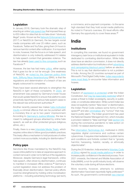#### Legislation

In January 2018, Germany took the dramatic step of enacting an online [hate speech law](https://www.bbc.com/news/technology-42510868) that imposed fines up to €50 million for sites that do not take down "obviously illegal" posts. Known as the [Network Enforcement Act](https://www.loc.gov/law/help/social-media-disinformation/germany.php) (2017) or NetzDG (in German), the law targets social media companies with over 20 million users, such as Facebook, Twitter and YouTube, giving them 24 hours to remove harmful content after notification. It is important to note, however, that the focus is on hate speech, and disinformation is only indirectly addressed if it relates to hate speech content that generates violence. The law has alread[y been used to fine companies](https://www.reuters.com/article/us-facebook-germany-fine/germany-fines-facebook-for-under-reporting-complaints-idUSKCN1TX1IC) such as Facebook.45

However, the law has had many [critics](https://www.politico.eu/article/germany-hate-speech-internet-netzdg-controversial-legislation/), either saying that it goes too far or not far enough. One weakness of NetzDG, as [noted by the German policy think](https://www.stiftung-nv.de/sites/default/files/regulatory_reactions_to_disinformation_in_germany_and_the_eu.pdf) [tank, Stiftung Neue Verantwortung](https://www.stiftung-nv.de/sites/default/files/regulatory_reactions_to_disinformation_in_germany_and_the_eu.pdf) (SNV), is that the regulations and determination of a breach of law are largely outsourced to companies.

There have been several attempts to strengthen the NetzDG in light of these complaints. In [2020,](https://www.politico.eu/article/german-parliament-moves-to-toughen-hate-speech-rules/?utm_source=POLITICO.EU&utm_campaign=5905d18ec7-EMAIL_CAMPAIGN_2020_09_09_10_37&utm_medium=email&utm_term=0_10959edeb5-5905d18ec7-189775021) an amendment was passed by Germany's lower house that would update NetzDG to ensure that platforms were proactively reporting any serious hate speech cases to the relevant law enforcement authorities.<sup>46</sup>

Another recently passed law makes [hate-motivated](https://apnews.com/article/europe-crime-religion-government-and-politics-7911c439c6a230c3a950271779f5ec02)  [insults](https://apnews.com/article/europe-crime-religion-government-and-politics-7911c439c6a230c3a950271779f5ec02) a criminal offence that can be punished with a monetary fine or up to two years' imprisonment. According to [Germany's Justice Minister](https://apnews.com/article/europe-crime-religion-government-and-politics-7911c439c6a230c3a950271779f5ec02), the law is meant to safeguard groups attacked by online hate speech, as well as other protected groups (religious, ethnic, etc.).

Finally, there is a ne[w Interstate Media Treaty,](https://www.die-medienanstalten.de/fileadmin/user_upload/Rechtsgrundlagen/Gesetze_Staatsvertraege/Interstate_Media_Treaty_en.pdf) which requires online sites to follow good journalistic practices. This treaty offers a mechanism to hold producers of online content more accountable, including for disinformation.47

#### Policy gaps

Sanctions like those mandated by the NetzDG may cause online platforms to take an expansive approach to content removal in order not to fall foul of the regulations. Moreover, despite Germany's legal framework, online hate speech, often driven by disinformation, continues to manifest in increased offline violence.48 Germany's current legislation does not address the problem of financially driven disinformation. German policy efforts could be strengthened by holding online monetisation platforms – including advertising technology (ad-tech),

e-commerce, and e-payment companies – to the same high standard that they hold social media platforms. As noted in France's overview, EU-level efforts offer Germany the opportunity to cover these areas.<sup>49</sup>

## India

#### **Institutions**

In compiling this overview, we found no government interagency task force or institutional equivalent in India dedicated to combating disinformation. While India does have an election commission, it does not directly address disinformation but institutes a short [advertising](https://www.hindustantimes.com/mumbai-news/we-can-t-stop-individuals-from-using-social-media-48-hours-before-polls-eci-tells-bombay-hc/story-0okcfUbOxZy3swIJ2A311N.html)  [and campaigning blackout period](https://www.hindustantimes.com/mumbai-news/we-can-t-stop-individuals-from-using-social-media-48-hours-before-polls-eci-tells-bombay-hc/story-0okcfUbOxZy3swIJ2A311N.html) before an election. This is not to say that disinformation is not a problem in India. Among the 22 countries surveyed as part of Microsoft's Third Digital Civility Index, *Indian respondents* [were most likely](https://perma.cc/545B-7YVN) to encounter false information and hoaxes.

#### Legislation

Freedom of [expression is protected](https://perma.cc/MCD8-7XAT) under the Indian Constitution, but [may be reasonably restricted](https://perma.cc/MCD8-7XAT) when it poses a threat to Indian sovereignty, security or public order, or constitutes defamation. While current Indian law does not explicitly mention "fake news" or disinformation, the Indian Penal Code outlaws some forms of hate speech<sup>50</sup> and also [criminalises](https://indiankanoon.org/doc/1198526) any "rumour" that may lead to public alarm. The Indian government has used the National Disaster Management Act, which includes a provision related to "false warnings" (see [section 54](https://indiankanoon.org/doc/640589/)), during the coronavirus pandemic to take action on COVID-19-related disinformation.

The [Information Technology Act](https://perma.cc/466L-Z757), instituted in 2000, regulates digital commerce and outlines certain cybercrimes. It requires intermediaries to publish terms and conditions and forbids content that is "grossly harmful, harassing, hateful, racially, or ethnically objectionable".

During the 2019 election, India enacted a Voluntary Code [of Ethics](https://eci.gov.in/files/file/9468-voluntary-code-of-ethics-by-the-social-media-platforms-for-the-general-election-2019) signed b[y social media platforms](https://eci.gov.in/files/file/9468-voluntary-code-of-ethics-by-the-social-media-platforms-for-the-general-election-2019) in order to increase public confidence in the electoral process. From 2021 onwards, the Internet and Mobile Association of India (IAMAI), a not-for-profit industry body, will observe the voluntary code during all future elections.

More recently, however, attempts to address disinformation have been reportedly highly politicised.<sup>51</sup> As such, the government's controversial new internet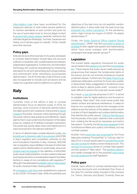[intermediary rules](https://www.brookings.edu/techstream/new-intermediary-rules-jeopardize-the-security-of-indian-internet-users/) have been scrutinised for the measure's attempt to hold online service platforms to harsher standards of user content and push for the use of automated tools to remove illegal content. [A government press release](https://www.pib.gov.in/PressReleseDetail.aspx?PRID=1700766) explicitly mentions the intended targets as WhatsApp, YouTube, Facebook and Twitter, but it will also apply to LinkedIn, TikTok, Reddit and other services.

#### Policy gaps

India serves as another example of why policy developed to combat disinformation should take into account sufficient consultation with outside experts and relevant, independent organisations. Furthermore, the Information Technology Act could be strengthened by introducing standards for ad-tech (advertising technology) policies and enforcement when advertising accompanies disinformation. The 2019 Voluntary Code of Ethics could also be expanded to include such provisions and be made into a general code for platforms to uphold.

### **Italy**

#### **Institutions**

Currently, most of the efforts in Italy to combat disinformation focus on electoral cycles. In 2018, for example, amid concerns of electoral disinformation, the Italian government created an online portal to [report](https://www.poynter.org/fact-checking/2018/italians-can-now-report-fake-news-to-the-police-heres-why-thats-problematic/) [hoaxes](https://www.poynter.org/fact-checking/2018/italians-can-now-report-fake-news-to-the-police-heres-why-thats-problematic/) to the police. However, online reporting through the portal, without clear guidance and definitions, raised alarms that it could undermine the freedom of the Italian press by creating an ill-defined oversight mechanism. The portal was quickly taken down and references to it were removed from the relevant websites.<sup>52</sup>

In terms of disinformation outside electoral cycles, the [Autorità per le Garanzie nelle Comunicazioni \(](https://www.agcom.it/struttura-amministrativa-dell-autorita)AGCOM), is Italy's regulator and competition authority for the communications industries in Italy. However, AGCOM has no regulatory responsibilities in the area of online hate speech and/or disinformation on social media, since such [content was not included](https://www.article19.org/resources/article-19-comments-on-new-italian-regulation-on-hate-speech/) in the definition of AGCOM's audio-visual media jurisdiction. It is also unable to intervene and impose sanctions on broadcasters based in the Italian territory in cases of non-compliance with regulation,<sup>53</sup> although it has attempted t[o establish rules on hate speech](https://www.article19.org/resources/article-19-comments-on-new-italian-regulation-on-hate-speech/) for audio-visual and video-sharing platforms.

An [interagency task force](https://innovazione.gov.it/dipartimento/what-we-do/en/task-force-covid-19/) was established to respond to the COVID-19 threat in Italy. While the activities and objectives of the task force do not explicitly mention disinformation, it does state that the task force has [analysed the online perception](https://innovazione.gov.it/dipartimento/what-we-do/en/task-force-covid-19/) of the pandemic, which might include the impact of COVID-19-related disinformation.<sup>54</sup>

Finally, the [Italian National Office Against Racial](http://www.unar.it/cosa-facciamo/?lang=en)  [Discrimination](http://www.unar.it/cosa-facciamo/?lang=en), UNAR, has also [promoted a series of](https://ec.europa.eu/newsroom/just/items/704254)  [activities](https://ec.europa.eu/newsroom/just/items/704254) to stem digital hate speech and cyberbullying, which have some overlaps with disinformation campaigns that target specific groups.55

#### **Legislation**

The current Italian regulatory framework for audiovisual media is the [Gasparri Law](https://www.camera.it/parlam/leggi/04112l.htm) and the [Consolidated](https://www.gazzettaufficiale.it/eli/gu/2005/09/07/208/so/150/sg/pdf)  [Act](https://www.gazzettaufficiale.it/eli/gu/2005/09/07/208/so/150/sg/pdf). These require that audio-visual media services air programmes that respect the fundamental rights of the person and do not promote intolerance towards protected classes. Furthermore, the [Italian Penal Code](https://british-association-comparative-law.org/2021/03/26/italys-fight-against-fake-news-a-work-in-progress-by-alberto-nicotina-and-simone-riganelli/) addresses defamation and fines for those who publish or disseminate "false, exaggerated or tendentious news which is likely to disturb public order". However, it has been difficult to enforce the code with social media.<sup>56</sup>

As a result, [a new bill w](http://www.senato.it/japp/bgt/showdoc/17/DDLPRES/0/1006504/index.html?part=ddlpres_ddlpres1)as proposed in 2017. It aimed to establish rules for digital platforms and focused on combating "false news" that could cause public fear, hateful content and electoral interference. It called for fines for non-compliance, both for the managers of the platforms and the authors of the related content (which is similar to French legislation as it outlaws disinformation that disturbs the public peace). [Critics of the bill argue](https://www.valigiablu.it/legge-fakenews-censura/) that the penalty of two years' detention that could result from violating the bill would be repressive and restrict free speech. Currently, the bil[l has been assigned](http://www.senato.it/leg/17/BGT/Schede/Ddliter/47680.htm) to the Constitutional Affairs and Justice committees, but has not been passed.

Another more [recent law was proposed](https://freedomhouse.org/country/italy/freedom-net/2020) by the Forza Italia party (meaning "Forward Italy" or "Let's go, Italy") in May 2019. It would require users t[o provide their social](https://freedomhouse.org/country/italy/freedom-net/2020)  [security number t](https://freedomhouse.org/country/italy/freedom-net/2020)o create a social media account. This [removal of anonymity](https://freedomhouse.org/country/italy/freedom-net/2020) aimed to combat hate speech and the spread of "fake news". The [resulting criticism](https://www.valigiablu.it/odio-disinformazione-anonimato/)  and media coverage led to the proposal [never being](https://freedomhouse.org/country/italy/freedom-net/2020)  [formally presented](https://freedomhouse.org/country/italy/freedom-net/2020) as draft legislation.

#### Policy gaps

Overall, Italy's efforts to combat disinformation tend to be less structured and coordinated than those of the other EU member states included in this overview (i.e. France, Germany and Spain). Currently, there are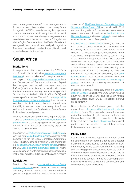no concrete government efforts or interagency task forces to address disinformation in the country. Since its regulator, AGCOM, already has regulatory powers over the communications industry, it could be useful to task that body with formulating draft regulations. As noted elsewhere in this report, once the EU regulations via the Digital Services Act and the Digital Markets Act are agreed, the country will need to align its regulatory framework, including to combat the amplification and monetisation of disinformation.

## South Africa

#### **Institutions**

In response to the threat caused by COVID-19 misinformation, South Africa has [created an interagency](https://www.gov.za/speeches/government-monitors-and-responds-misinformation-and-fake-news-during-coronavirus-covid-19) [task force](https://www.gov.za/speeches/government-monitors-and-responds-misinformation-and-fake-news-during-coronavirus-covid-19) to monitor "fake news" during the pandemic and beyond. It [is composed of representatives](https://www.gov.za/speeches/government-monitors-and-responds-misinformation-and-fake-news-during-coronavirus-covid-19) from the Department of Communications and Digital Technologies, not-for-profit companies such as ZADna (which administers the .za domain name), the telecommunications regulator (the Independent Communications Authority of South Africa, ICASA), and relevant platform owners. The task force is [responsible](https://www.gov.za/speeches/government-monitors-and-responds-misinformation-and-fake-news-during-coronavirus-covid-19)  [for monitoring complaints and reports](https://www.gov.za/speeches/government-monitors-and-responds-misinformation-and-fake-news-during-coronavirus-covid-19) from the media and the public. As follow-up, the task force will have the ability to remove content on a variety of platforms and submit cases to the South African Police Service for investigation and prosecution.

In terms of regulations, South Africa's regulator, ICASA, works to [ensure that telecommunications serve the](https://www.icasa.org.za/pages/our-mandate?TSPD_101_R0=9c5a5f8f267f0a4521d52b8efd994e8ckqC000000000000000000174563ffff00000000000000000000000000006109a7200070363e38)  [public interest](https://www.icasa.org.za/pages/our-mandate?TSPD_101_R0=9c5a5f8f267f0a4521d52b8efd994e8ckqC000000000000000000174563ffff00000000000000000000000000006109a7200070363e38) and promote programmes that popularise narratives of a non-sexist, non-racial, equal and democratic South Africa.

In addition, the **Election Commission of South Africa** is working with [Media Monitoring Africa,](https://www.real411.org/about) a not-for-profit company, to run the Digital Complaints Committee (DCC). The DCC upholds a Voluntary Code of Conduct, bu[t does not have any legally binding powers](https://www.real411.org/about). Instead, the DCC [uses a reporting system called Real411](https://www.real411.org/about) where users can report disinformation and hate speech via a mobile app, website or a dedicated WhatsApp number.<sup>57</sup>

#### Legislation

Freedom of expression is [protected under the South](http://www.justice.gov.za/legislation/constitution/SAConstitution-web-eng.pdf)  [African Constitution](http://www.justice.gov.za/legislation/constitution/SAConstitution-web-eng.pdf) (1996), except in cases involving "advocacy of hatred that is based on race, ethnicity, gender or religion, and that constitutes incitement to

cause harm". [The Prevention and Combating of Hate](https://globalfreedomofexpression.columbia.edu/wp-content/uploads/2019/01/Prevention-and-Combating-of-Hate-Crimes-and-Hate-Speech-Bill.pdf)  [Crimes and Hate Speech Bill](https://globalfreedomofexpression.columbia.edu/wp-content/uploads/2019/01/Prevention-and-Combating-of-Hate-Crimes-and-Hate-Speech-Bill.pdf) was introduced in 2016 and aims for greater enforcement and transparency against hate speech. It is still before the South African [National Assembly a](https://www.justice.gov.za/legislation/hcbill/hatecrimes.html)nd current [debate](https://www.dailymaverick.co.za/article/2020-07-09-secrecy-bill-is-still-fundamentally-flawed-and-needs-to-be-reconsidered/) has centred on whether it would censor free speech.

After [declaring a state of disaster i](https://www.article19.org/resources/prohibitions-of-false-covid-information-must-be-amended/)n early 2020 due to the COVID-19 pandemic, President Cyril Ramaphosa temporarily limited some of the rights of South African citizens. The Disaster Management Regulations, which were issued from powers conferred by section 27(2) of the Disaster Management Act of 2002, created several offences regarding publishing COVID-19-related content.58 It criminalises publication, in "any medium" of information with the "intention to deceive any other person about" COVID-19 (including the virus and treatments). These regulations have already been [used](https://www.usaid.gov/sites/default/files/documents/INTERNEWS_EFFECTS_OF_COVID19_ON_FREEDOM_OF_EXPRESSION_IN_SELECT_SADC_COUNTRIES_2.pdf)  [to make arrests.](https://www.usaid.gov/sites/default/files/documents/INTERNEWS_EFFECTS_OF_COVID19_ON_FREEDOM_OF_EXPRESSION_IN_SELECT_SADC_COUNTRIES_2.pdf) These measures have been extended for more than a year, despite criticism from human rights [groups](https://www.article19.org/resources/prohibitions-of-false-covid-information-must-be-amended/) over its reported censorship and restriction of freedom of the press.<sup>59</sup>

In addition, in terms of soft policy, there is a [Voluntary](https://www.real411.org/about)  [Code of Conduct u](https://www.real411.org/about)pheld by the DCC, which includes South Africa's Press Council and the South African National Editors Forum (SANEF), to address harmful online content.<sup>60</sup>

Despite the fact that South Africa's government, like many others, struggles with disinformation during [elections](https://www.rfi.fr/en/africa/20170130-dirty-games), South Africa currently does not have any policy that specifically targets electoral disinformation. This sets it apart from all the other countries in this study. In the past there have [been allegations](https://www.news24.com/news24/elections/news/increase-in-disinformation-leading-up-to-elections-not-enough-to-destabilise-it-mma-20190517) that political parties used disinformation as part of their election tactics against their opposition.

#### Policy gaps

South Africa's current regulatory stance could be strengthened by adding a focus on electoral disinformation, as is seen to varying degrees in every other country in this study. Furthermore, reforming and providing greater transparency about the COVID-19 Disaster Management Regulations would help to mitigate concerns of the alleged limitations on the press and free speech. Amending these temporary measures would help to alleviate these concerns and could improve public confidence.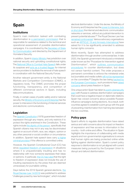## Spain

#### Institutions

Spain's main institution tasked with combating disinformation is [a permanent commission](https://www.boe.es/eli/es/o/2020/10/30/pcm1030) that is responsible for assistance related to the technical and operational assessment of possible disinformation campaigns. It is coordinated by the Secretary of State [for Communication](https://www.boe.es/eli/es/o/2020/10/30/pcm1030) and directed by the Department of Homeland Security.

In addition, Spain's [Interior Ministry](https://www.boe.es/buscar/act.php?id=BOE-A-2018-10755) has jurisdiction over national security and upholding constitutional rights. Th[e National Office to Combat Hate Speech](http://www.interior.gob.es/documents/10180/13073/ACTION_PLAN_TO_COMBAT_HATE_CRIMES/1df7e295-133c-4afb-a6a1-7301fb54845e) falls under its auspices and [acts as a trusted flagger](http://www.interior.gob.es/documents/10180/13073/ACTION_PLAN_TO_COMBAT_HATE_CRIMES/1df7e295-133c-4afb-a6a1-7301fb54845e) for internet service providers to facilitate the removal of hate speech in coordination with the National Security Forces.

Another relevant government entity is the National Markets and Competition Commission (CNMC), a regulatory body. The CNMC promotes the proper functioning, transparency, and competition of different commercial sectors in Spain, including telecommunications.

Finally, in certain cases of public safety and/or national security, the [Ministry of Economy and Enterprise h](https://edri.org/our-work/spain-new-law-threatens-internet-freedoms/)as the power to intervene in the functioning of internet services and electronic communications.

#### **Legislation**

The [Spanish Constitution](https://www.boe.es/legislacion/documentos/ConstitucionINGLES.pdf) (1978) guarantees freedom of expression through any means, and only restricts it to protect the rights enshrined in the Constitution. These rights include [the dignity of the person,](https://www.lamoncloa.gob.es/lang/en/espana/leyfundamental/Paginas/titulo_primero.aspx) specifically that Spanish citizens may not in any way be discriminated against on account of birth, race, sex, religion, opinion or any other personal or social condition or circumstance. In addition, Spanish hate speech laws carry [a higher](https://www.boe.es/buscar/act.php?id=BOE-A-1995-25444)  [criminal provision](https://www.boe.es/buscar/act.php?id=BOE-A-1995-25444) if the offence is committed online.

However, the Spanish Constitutional Court (CC) has since [regulated freedom of expression](https://issuu.com/tirantloblanch/docs/0b025d5261ebfa5ab92d6243c474e224) in situations where it is unquestionably insulting and has no relationship with how someone expresses their ideas or opinions. In particular, [the CC has ruled](https://www.navarra.es/NR/rdonlyres/913EC53B-45CB-471D-9142-9B186D079240/305594/PL1.pdf) that the right to freedom of expression does not include the use of insulting expressions by the press that are deemed unnecessary for journalistic writing.

Days before [the](https://edri.org/our-work/spain-new-law-threatens-internet-freedoms/) 2019 Spanish general elections, the [Royal Decree-Law 14/2019](https://edri.org/our-work/spain-new-law-threatens-internet-freedoms/) was published to address "challenges posed by new technologies", which included

electoral disinformation. Under this decree, the Ministry of Economy and Enterprise has the [power to intervene, lock](https://edri.org/our-work/spain-new-law-threatens-internet-freedoms/)  [or shut down](https://edri.org/our-work/spain-new-law-threatens-internet-freedoms/) the internet and electronic communication networks or services, without any judicial intervention to prevent potential abuses.<sup>61</sup> The Royal Decree-Law has [remained controversial](https://www.article19.org/resources/spain-the-royal-decree-law-14-2019-threatens-freedom-of-expression/). Various advocacy organisations such as [ARTICLE 19 and Amnesty International h](https://www.article19.org/resources/spain-the-royal-decree-law-14-2019-threatens-freedom-of-expression/)ave asked for it to be significantly amended to address human rights concerns.

More recently, Spain has attempted to address disinformation through another controversial law. In late 2020, the Spanish government introduced a ministerial order known as the "Procedure for Intervention against Disinformation", which [outlines communication](https://english.elpais.com/politics/2020-11-09/spain-to-monitor-online-fake-news-and-give-a-political-response-to-disinformation-campaigns.html)  [procedures](https://english.elpais.com/politics/2020-11-09/spain-to-monitor-online-fake-news-and-give-a-political-response-to-disinformation-campaigns.html) to counter disinformation, but does not censor harmful content. The order proposes a permanent committee to enforce the ministerial order, but journalists and media outlets [will not be represented](https://english.elpais.com/politics/2020-11-09/spain-to-monitor-online-fake-news-and-give-a-political-response-to-disinformation-campaigns.html) on the committee.<sup>62</sup> Despite the law being backed by [the European Commission](https://english.elpais.com/politics/2020-11-10/eu-commission-backs-spains-protocol-against-disinformation-campaigns.html), such provisions have [raised](https://rsf.org/en/news/governments-anti-fake-news-policy-potentially-threatens-press-freedom-spain)  [concerns](https://rsf.org/en/news/governments-anti-fake-news-policy-potentially-threatens-press-freedom-spain) about press freedom in Spain.

One unique action Spain has taken is a joint cybersecurity [pact](https://www.themoscowtimes.com/2018/11/07/russia-and-spain-agree-to-cooperate-on-cyber-security-fight-fake-news-a63417) with Russia to address disinformation campaigns that could have a negative impact on diplomatic relations. Spain has voiced concerns about possible Russian influence campaigns during elections. As a result, both countries agreed to establish a joint group with the goal of preventing misinformation from harming ties between the two countries.

#### Policy gaps

Spain's efforts to regulate disinformation have raised serious and valid concerns about its impact on freedom of expression and free access to information in the country – both online and offline. The situation in Spain highlights the importance of collaborating with media experts and non-governmental organisations to ensure that human rights are being protected online while fighting against disinformation. Spain's current policy response to disinformation is not yet aligned with current measures being pursued by the European Union to disrupt and defund disinformation.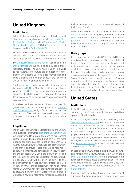## United Kingdom

#### Institutions

In the UK, the responsibility to develop policies to combat disinformation is largely centred with the [Minister of State](https://www.gov.uk/government/ministers/minister-of-state-for-digital-and-culture)  [for Digital and Culture](https://www.gov.uk/government/ministers/minister-of-state-for-digital-and-culture) and its [Department for Digital,](https://www.gov.uk/government/organisations/department-for-digital-culture-media-sport)  [Culture, Media and Sport](https://www.gov.uk/government/organisations/department-for-digital-culture-media-sport) (DCMS).This is the body that has proposed the **Online Safety Bill**.

However, there are other authorities and institutions that will be involved in enforcement measures and sanctions once this proposed regulatory framework is established.

The [Competition and Markets Authority,](https://www.gov.uk/government/organisations/competition-and-markets-authority) and namely the [Digital Markets Unit](https://www.gov.uk/government/collections/digital-markets-unit) (DMU), is to be included in these regulatory efforts. The DMU was set up in April 2021 to "operationalise the future pro-competition regime" that the UK is setting up for its digital market, including large platforms and how they conduct their business (including harm to and for consumers).63

Another key actor to be included in this regulatory landscape is [OFCOM](https://www.ofcom.org.uk/home) (the Office of Communications), which is the UK's regulator of its communication services. OFCOM is tasked by Parliament to oversee the enforcement of related regulations as an independent organisation.

In addition to these bodies and institutions, the UK government has more recently set up a [counter](https://www.politico.eu/article/uk-gears-up-anti-vax-battle/?utm_source=POLITICO.EU&utm_campaign=e6f173ef91-EMAIL_CAMPAIGN_2020_11_18_07_13&utm_medium=email&utm_term=0_10959edeb5-e6f173ef91-190176065)[disinformation unit](https://www.politico.eu/article/uk-gears-up-anti-vax-battle/?utm_source=POLITICO.EU&utm_campaign=e6f173ef91-EMAIL_CAMPAIGN_2020_11_18_07_13&utm_medium=email&utm_term=0_10959edeb5-e6f173ef91-190176065) to fight false claims about the coronavirus. The unit provides weekly reports to ministers on the trends of coronavirus disinformation online.

#### Legislation

In May 2021, the Minister of State for Digital and Culture introduced to Parliament a [draft of the Online Safety Bill](https://assets.publishing.service.gov.uk/government/uploads/system/uploads/attachment_data/file/985033/Draft_Online_Safety_Bill_Bookmarked.pdf), which is intended to regulate illegal and harmful content on the internet. The proposed draft calls for the most popular social media sites to act on content that is harmful but not unlawful (which includes disinformation). If the draft is approved, these sites will be required to specify in their terms and conditions how they will carry out this obligation. OFCOM is tasked with overseeing the regulation once the bill is adopted. As it is currently proposed, OFCOM will be given the power to fine companies that fail in their new "duty of care" up to £18 million, or 10% of annual global turnover, whichever is higher. OFCOM will also have the power to block access to sites. As the Online Safety Bill is currently drafted, it proposes a new criminal offence for senior managers if their technology firms do not improve safety as part of their "duty of care".

The Online Safety Bill built upon previous government [consultations](https://www.gov.uk/government/consultations/online-harms-white-paper/outcome/online-harms-white-paper-full-government-response) and investigations into disinformation and online harm. The British Parliament, for example, [published a 2019 report](https://publications.parliament.uk/pa/cm201719/cmselect/cmcumeds/1791/1791.pdf) on disinformation and fake news that was the result of an inquiry spanning more than 18 months.

#### Policy gaps

Even though aspects of the draft Online Safety Bill seem promising, there are places where GDI believes it should be strengthened. The current draft regulation does not include a definition of disinformation nor is there an explicit mention of the monetisation of disinformation, through online advertising or other channels such as e-commerce and e-payment systems. The draft Online Safety Bill also focuses on "user-to-user services", which means that content on news publishers' own websites generally will not fall within the scope of the law. This limits the reach of the Online Safety Bill and could potentially dampen its ability to reduce disinformation.

## United States

#### **Institutions**

In the US, various government entities are tasked with combating disinformation, with the responsibilities spread out institutionally.

In terms of foreign disinformation, the main body is the [Global Engagement Center](https://2009-2017.state.gov/r/gec//index.htm) (GEC), which is housed under the US State Department. The GEC was set up by the 2017 National Defense Authorization Act to coordinate interagency efforts to counter foreign propaganda and disinformation. It is tasked with tracking, exposing and identifying disinformation narratives. While its original focus was on counter-terrorism, the GEC has [recently expanded](https://www.state.gov/briefing-with-special-envoy-lea-gabrielle-global-engagement-center-on-disinformation-and-propaganda-related-to-covid-19/) its work to include mis- and disinformation on COVID-19.

In addition to the GEC, there is also the Cybersecurity and Infrastructure Security Agency (CISA) which has a [Mis-, Dis-, Malinformation team](https://www.cisa.gov/mdm) that addresses both foreign and domestic cases of disinformation. This team covers disinformation during elections and, since May 2020, has also provided information about [COVID-19](https://www.cisa.gov/publication/covid-19-disinformation-activity)  [disinformation.](https://www.cisa.gov/publication/covid-19-disinformation-activity)

In addition to these bodies, there are other government agencies that have regulatory powers to address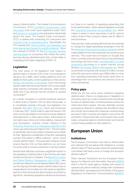cases of disinformation. The Federal Communications Commission (FCC) [prohibits broadcasting false](https://www.fcc.gov/consumers/guides/broadcasting-false-information)  [information t](https://www.fcc.gov/consumers/guides/broadcasting-false-information)hat could cause significant public harm an[d may act on complaints](https://www.fcc.gov/consumers/guides/broadcasting-false-information) if broadcasters intentionally distort the news. The Federal Trade Commission (FTC), is tasked with protecting US consumers and [enforces truth-in-advertising laws](https://www.ftc.gov/news-events/media-resources/truth-advertising). Specifically, the FTC requires that ["ads be truthful, not misleading, and,](https://www.ftc.gov/news-events/media-resources/truth-advertising)  [when appropriate, backed by scientific evidence".](https://www.ftc.gov/news-events/media-resources/truth-advertising) Since the outbreak of COVID-19, the FTC has been sending [warning letters](https://www.ftc.gov/coronavirus/enforcement/warning-letters) to companies that violate this policy and are placing advertisements that contain false or misleading information regarding COVID-19.

#### Legislation

The main piece of US legislation that relates to disinformation is Section 230 of the Communications Decency Act (1996), which shields platforms from civil liability for third-party content published on their service. [Section 230 remains controversial](https://www.cfr.org/in-brief/trump-and-section-230-what-know). Some technology experts state that removing Section 230 would cripple large internet companies with lawsuits, while others state that it has allowed harmful content to spread unchecked.64

As a result, Congress is currently looking at solutions to either build on Section 230 via reform proposals, or to completely override it through new legislation. For example, the [SAFE TECH Act,](https://www.warner.senate.gov/public/_cache/files/4/f/4fa9c9ba-2b34-4854-8c19-59a0a9676a31/66DECFBC0D6E6958C2520C3A6A69EAF6.safe-tech-act---final.pdf) which was introduced in February 2021, would make it clear that Section 230 does not provide platform immunity for issues related to advertisements or other paid content, enforcement of civil rights laws online and online stalking, harassment and intimidation. Another similar initiative is the [Protecting Americans from Dangerous Algorithms Act](https://eshoo.house.gov/media/press-releases/reps-eshoo-and-malinowski-reintroduce-bill-hold-tech-platforms-accountable), which was reintroduced in March 2021. This Act seeks to specifically hold social media companies accountable for their "algorithmic amplification of harmful, radicalising content that leads to offline violence", which would include disinformation. The proposed measure would amend Section 230 so that platforms do not have immunity when it comes to extremist or harmful content.

Several other bills that could have a significant impact on the spreading of disinformation in the US have also been recently introduced to Congress. The **Algorithmic Justice** [and Online Platform Transparency Act of 2021,](https://www.markey.senate.gov/imo/media/doc/ajopta.pdf) also sometimes referred to as the Markey/Matsui Bill, points out the disproportionate impacts disinformation has on marginalised communities and will create an algorithm task force that will study the discrimination promoted by algorithms. Advertising regulations will also be introduced, but there is no mention of regulating advertising that funds disinformation. Other relevant legislation includes the [Corporate Executive Accountability Act](https://www.warren.senate.gov/newsroom/press-releases/senator-warren-unveils-bill-to-expand-criminal-liability-to-negligent-executives-of-giant-corporations), which makes it easier to send executives to jail for serious online crimes if their company makes over \$1 billion in annual revenue.

There are also newly pending bills that have the potential to change the digital advertising landscape in the US. The [American Choice and Innovation Online Act](https://www.congress.gov/bill/117th-congress/house-bill/3816/text?r=43&s=1) would outlaw platforms from favouring their own products and services. This could have an impact on Google Ads, which currently is the dominant force in the advertising technology (ad-tech) world, [providing 98% of online](https://w3techs.com/technologies/details/ad-google)  [advertising](https://w3techs.com/technologies/details/ad-google) according to a recent internet survey. Similarly, [the Ending Platform Monopolies Act,](https://www.congress.gov/bill/117th-congress/house-bill/3825/text?r=34&s=1) which would forbid companies with at least 50 million monthly active US users and a market cap of \$600 billion or more from operating businesses that would cause them to advantage their own products and services (such as online advertising).

#### Policy gaps

While the US has some policy initiatives targeting disinformation, there is no single piece of legislation or soft policy (such as a code of practice) that specifically focuses on disinformation, its financial drivers and/or the online harm that it creates. The new draft bills currently proposed do attempt to address this shortfall but they are not fully harmonised with measures currently being pursued in other countries and regions, such as the UK and the EU. If these other bills move forward, they would make companies liable for disinformation and harmful content being peddled on their platforms.

### European Union

#### **Institutions**

The European Commission has various directorates and cabinets that are tasked with initiatives to combat disinformation.65 There are also various EU parliamentary committees that have a remit on foreign and domestic disinformation.<sup>66</sup>

Other relevant institutions are the European Union Agency for Network and Information Security [\(ENISA\)](https://www.enisa.europa.eu/about-enisa), which is the EU-wide agency dealing with issues of cybersecurity (which indirectly overlaps with coordinated disinformation campaigns) and the Body of European Regulators for Electronic Communications ([BEREC\)](https://digital-strategy.ec.europa.eu/en/policies/body-european-regulators-electronic-communications),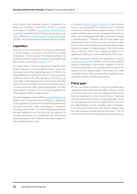which works with member states to implement the telecommunications directives of the European Commission. In addition, [the European Data Protection](https://edps.europa.eu/about-edps/members-mission/supervisors_en)  [Supervisor](https://edps.europa.eu/about-edps/members-mission/supervisors_en) (currently Wojciech Wiewiórowski) plays a key role in enforcing [the General Data Protection Regulation](https://gdpr-info.eu/) (GDPR), which helps protect personal data and privacy.

#### **Legislation**

There are some overarching EU frameworks that relate to online freedom of speech, information and related protections. The EU Charter of Fundamental Rights, for example, outlines the right to freedom of expression and free access to information ([Article 11\).](https://fra.europa.eu/en/eu-charter/article/11-freedom-expression-and-information)<sup>67</sup>

As noted above, three key regulatory initiatives have been proposed to combat disinformation across the European Union: the Digital Services Act (DSA), the Digital Markets Act (DMA) and the EU Code of Practice on Disinformation (voluntary regulation). The [DSA's goal](https://digital-strategy.ec.europa.eu/en/policies/digital-services-act-package) is to create a safer digital space in which the fundamental rights of all users of digital services are protected and to promote innovation within the EU and globally. The DSA, when passed, will issue a common set of regulations for intermediaries within a single market.

The sister legislation to the DSA is [the Digital Markets Act](https://ec.europa.eu/info/strategy/priorities-2019-2024/europe-fit-digital-age/digital-markets-act-ensuring-fair-and-open-digital-markets_en) (DMA), which will require new transparency obligations and a regulatory framework for advertising technology (ad-tech) and other online monetisation companies operating within the EU. For online advertising specifically, relevant platforms and services will be required to provide advertisers and publishers with information about pricing and other relevant information related to the advertising value chain.

In contrast, [the EU Code or Practice](https://digital-strategy.ec.europa.eu/en/policies/code-practice-disinformation) is a law that has issued new quidance<sup>68</sup> for including the monetary incentives of disseminating disinformation. The EU code is similar in scope to the Australian code and has some common language when discussing issues related to disinformation. However, the EU code states that disinformation can have the purpose of economic gain and also has a section discussing the financial incentives fuelling the spread of disinformation. Still, both codes take a voluntary rather than a regulatory approach to signing and abiding by certain standards of the code.

Another framework, which is not legislation, is the  $E\cup$ [Democracy Action Plan](https://ec.europa.eu/commission/presscorner/detail/en/ip_20_2250) (EDAP), which aims to address specific challenges to democratic systems in the EU and its member states. Among the areas it covers is the need to counter disinformation. The framework, while not legally binding, sets out areas where regulations and policy are needed, including advertising.

#### Policy gaps

The EU has taken the lead in proposing policies and regulations that combat disinformation through a wholeof-industry approach that also targets removing the financial incentives of online disinformation. There are still a few areas where the EU's current legislation could be strengthened and both the Digital Services Act and the Digital Markets Act are currently under consultation in the European Parliament and member states. Both Acts will undergo amendments and the next 12 to 18 months will be critical for defining their regulatory remits.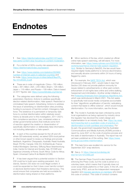## Endnotes

1 See: [https://disinformationindex.org/2021/07/want](https://disinformationindex.org/2021/07/want-less-awful-content-stop-focusing-on-content-moderation)[less-awful-content-stop-focusing-on-content-moderation](https://disinformationindex.org/2021/07/want-less-awful-content-stop-focusing-on-content-moderation).

2 For a full list of GDI's country risk assessments, see: [https://disinformationindex.org/research.](https://disinformationindex.org/research/)

3 See: [https://www.statista.com/statistics/262966/](https://www.statista.com/statistics/262966/number-of-internet-users-in-selected-countries) [number-of-internet-users-in-selected-countries](https://www.statista.com/statistics/262966/number-of-internet-users-in-selected-countries) and for India, [https://www.trai.gov.in/sites/default/files/PR\\_](https://www.trai.gov.in/sites/default/files/PR_No.101of2020_0.pdf) [No.101of2020\\_0.pdf](https://www.trai.gov.in/sites/default/files/PR_No.101of2020_0.pdf).

4 These are in order of magnitude: China = 765 million; India = 391 million;  $USA = 245$  million; Brazil = 126 million; Japan = 116 million; and Russia = 109 million. Data is based on 2017 figures; see:<https://ourworldindata.org/internet>.

5 The categories were defined using the following parameters: Elections: Actions to address specifically election-related disinformation; Hate speech: Restricted or criminalised hate speech; Advertising: Actions to address the issue of advertising on disinformation sites providing funding to purveyors of harmful content; Interagency task force: The existence of a permanent or temporary task force to combat disinformation within relatively recent history (a decade prior to this investigation, 2011–2021); Non-compliance sanctions: Law, ministerial orders or similar governmental actions that institute some form of sanction against the creation or dissemination of specifically disinformation or deliberately false information, not including defamation or hate speech.

6 In each of the countries (except for the UK and US where GDI extensively works), we asked GDI's local partner or other known expert to review our findings and provide feedback: Argentina: Chequeado; Australia: Reset Australia; Brazil: ITS Rio; Canada: CIGI; EU: EUDisinfoLab; France: Institut Montaigne; Germany: Stiftung Neue Verantwortung; India: Centre for Internet and Society; Italy: IIT/CNR and Sapienza University of Rome; South Africa: Code for Africa; Spain: Universad Carlos III de Madrid (UC3M).

7 It has been argued that a potential solution to Section 230 could be to build upon existing precedent. As it stands, Section 230 does not cover illegal content. It could be expanded so that it does cover harmful content or electoral disinformation that threatens democracy. This would ensure that companies are held accountable for disinformation being shared on their platforms.

8 Minor sections of the law, which created an official online hate speech watchdog, will still stand. For more information, see: [https://www.nytimes.com/2020/06/18/](https://www.nytimes.com/2020/06/18/world/europe/france-internet-hate-speech-regulation.html) [world/europe/france-internet-hate-speech-regulation.](https://www.nytimes.com/2020/06/18/world/europe/france-internet-hate-speech-regulation.html) [html](https://www.nytimes.com/2020/06/18/world/europe/france-internet-hate-speech-regulation.html). Similar to Germany's NetzDG, the law would have required digital media platforms to remove discriminatory and sexually abusive comments within 24 hours of being flagged by users.

9 For example, the **SAFE TECH Act**, which was introduced in February 2021, would make it clear that Section 230 does not provide platform immunity for issues related to advertisements or other paid content, enforcement of civil rights laws online and online stalking, harassment and intimidation. Another similar initiative is the [Protecting Americans from Dangerous Algorithms Act,](https://eshoo.house.gov/media/press-releases/reps-eshoo-and-malinowski-reintroduce-bill-hold-tech-platforms-accountable) which was reintroduced in March 2021. This Act seeks to specifically hold social media companies accountable for their "algorithmic amplification of harmful, radicalising content that leads to offline violence", which would include disinformation. For more information, see the Annex.

10 The model in Australia has been criticised by some local organisations as being captured by industry since the regulator has devolved the code's design and implementation to an industry body. See: [https://au.reset.](https://au.reset.tech/news/big-tech-s-australian-code-of-practice-on-disinformation-is-both-pointless-and-shameless/) [tech/news/big-tech-s-australian-code-of-practice-on](https://au.reset.tech/news/big-tech-s-australian-code-of-practice-on-disinformation-is-both-pointless-and-shameless/)[disinformation-is-both-pointless-and-shameless.](https://au.reset.tech/news/big-tech-s-australian-code-of-practice-on-disinformation-is-both-pointless-and-shameless/) For its part, the government requested that the Australian Communications and Media Authority (ACMA) provide a report by June 2021 on the code of practice process and the state of disinformation in Australia. The report has not yet been published as of this writing. See: [https://www.](https://www.acma.gov.au/online-misinformation) [acma.gov.au/online-misinformation](https://www.acma.gov.au/online-misinformation).

11 This task force was recalled into service for the September 2021 snap elections.

#### 12 See p. 3: [https://dserver.bundestag.de/](https://dserver.bundestag.de/btd/19/124/1912489.pdf) [btd/19/124/1912489.pdf.](https://dserver.bundestag.de/btd/19/124/1912489.pdf)

13 The German Press Council is also tasked with enforcing the Press Code, but the code is joined on a voluntary basis, which means that it typically does not cover social media platforms or their users. In the UK, one press body, IPSO, acts as the independent newspaper regulator and [imposes sanctions on members](https://www.ipso.co.uk/monitoring/editorial-standards-monitoring/) who break the code of conduct. This code of conduct contains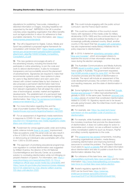stipulations for publishing "inaccurate, misleading or distorted information or images, including headlines not supported by the text". IMPRESS in the UK is another voluntary press-regulating organisation that offers benefits such as legal protection in return for adherence to their journalistic standards. For more information, see: [https://](https://www.impress.press/standards/) [www.impress.press/standards.](https://www.impress.press/standards/)

14 The UK's Department for Digital, Culture, Media and Sport has published a proposed regime framework for consultation until October 2021: [https://assets.publishing.](https://assets.publishing.service.gov.uk/government/uploads/system/uploads/attachment_data/file/1003913/Digital_Competition_Consultation_v2.pdf) [service.gov.uk/government/uploads/system/uploads/](https://assets.publishing.service.gov.uk/government/uploads/system/uploads/attachment_data/file/1003913/Digital_Competition_Consultation_v2.pdf) [attachment\\_data/file/1003913/Digital\\_Competition\\_](https://assets.publishing.service.gov.uk/government/uploads/system/uploads/attachment_data/file/1003913/Digital_Competition_Consultation_v2.pdf) [Consultation\\_v2.pdf](https://assets.publishing.service.gov.uk/government/uploads/system/uploads/attachment_data/file/1003913/Digital_Competition_Consultation_v2.pdf).

15 This new guidance encourages all parts of the advertising industry, including the brands that participate in online advertising, to join the code and work to defund disinformation. It asks for increased transparency and accountability around the placement of advertisements. Signatories are required to make their recommender systems public, have systems in place for users to flag disinformation and warn users who interact with content marked false by fact-checkers. It also proposes a permanent disinformation task force composed of signatories, experts and representatives from relevant organisations that will adapt the code in view of technological, societal, market and legislative developments. The establishment of a permanent task force would show a long-term commitment to fighting disinformation. See: [https://ec.europa.eu/commission/](https://ec.europa.eu/commission/presscorner/detail/en/ip_21_2585) [presscorner/detail/en/ip\\_21\\_2585](https://ec.europa.eu/commission/presscorner/detail/en/ip_21_2585).

16 For more information regarding this and the case of journalist Gustavo Raúl Romero, see: [https://](https://freedomhouse.org/country/argentina/freedom-net/2020) [freedomhouse.org/country/argentina/freedom-net/2020.](https://freedomhouse.org/country/argentina/freedom-net/2020)

17 For an assessment of Argentina's media restrictions in response to COVID-19, see: [https://gjia.georgetown.](https://gjia.georgetown.edu/2021/01/19/argentinas-new-media-regulations-create-jitters-over-information-control/) [edu/2021/01/19/argentinas-new-media-regulations-create](https://gjia.georgetown.edu/2021/01/19/argentinas-new-media-regulations-create-jitters-over-information-control/)[jitters-over-information-control.](https://gjia.georgetown.edu/2021/01/19/argentinas-new-media-regulations-create-jitters-over-information-control/)

18 Punishment for crimes against public order and inciting public violence include [three to six years'](https://perma.cc/UKU8-JL7N) imprisonment. False accusations under the penal code can also result in a fine of 3,000 to 30,000 pesos. Intentionally disgracing or dishonouring an individual is also punishable with a fine from 1,500 to 20,000 pesos.

19 This approach of prioritising educational programmes over regulation to combat disinformation was suggested by William Evanina, the director of the US National Counterintelligence and Security Center, as a possible solution to combating disinformation while not infringing on people's freedom of speech. For information, see: [https://](https://www.bloomberg.com/news/articles/2020-10-15/u-s-intelligence-official-says-social-media-big-vulnerability) [www.bloomberg.com/news/articles/2020-10-15/u-s](https://www.bloomberg.com/news/articles/2020-10-15/u-s-intelligence-official-says-social-media-big-vulnerability)[intelligence-official-says-social-media-big-vulnerability](https://www.bloomberg.com/news/articles/2020-10-15/u-s-intelligence-official-says-social-media-big-vulnerability) and [https://www.dni.gov/index.php/newsroom/press-releases/](https://www.dni.gov/index.php/newsroom/press-releases/item/2135-statement-by-ncsc-director-william-evanina-100-days-until-election-2020) [item/2135-statement-by-ncsc-director-william-evanina-](https://www.dni.gov/index.php/newsroom/press-releases/item/2135-statement-by-ncsc-director-william-evanina-100-days-until-election-2020)[100-days-until-election-2020](https://www.dni.gov/index.php/newsroom/press-releases/item/2135-statement-by-ncsc-director-william-evanina-100-days-until-election-2020).

20 This could include engaging with the public school curriculum: see the France report section.

21 This could be a reflection of the country's recent history with repression of the media under its military dictatorship (1976–1983) and the continued tension that exists between its media and political leadership in an increasingly politically polarised country. Brazil, another country in this report that has [struggled with polarisation](https://carnegieendowment.org/2021/02/17/brazil-s-polarization-and-democratic-risks-pub-83783), has also implemented media literacy initiatives into its policy response to disinformation.

22 In 2019, it started an advertising campaign called ["Stop and Consider''](https://www.aph.gov.au/About_Parliament/Parliamentary_Departments/Parliamentary_Library/pubs/BriefingBook46p/FakeNews), which encouraged citizens to examine the source of their information when they see news during the election campaign.

23 The Australian Communications and Media Authority (ACMA) [issued a position paper o](https://www.acma.gov.au/sites/default/files/2020-06/Misinformation%20and%20news%20quality%20position%20paper.pdf)n misinformation and news quality in Australia. The government requested [that ACMA provide a report by June 2021](https://www.acma.gov.au/sites/default/files/2020-06/Misinformation%20and%20news%20quality%20position%20paper.pdf) on the code of practice process and the state of disinformation in Australia. The report will include an assessment of the code development process; the content of the code(s) and resulting measures, and the state of disinformation in Australia.

24 Some highlights from the reports include that Google [blocked and removed](https://digi.org.au/wp-content/uploads/2021/05/Google-Report-AU-Code-of-Practice-on-Disinformation-and-Misinformation-1.pdf) 3.1 billion bad advertisements globally in 2020. In the same year, Facebook [removed over](https://digi.org.au/wp-content/uploads/2021/05/Facebook-commitments-under-disinfo-and-misinfo-code-final-report.pdf)  [14 million](https://digi.org.au/wp-content/uploads/2021/05/Facebook-commitments-under-disinfo-and-misinfo-code-final-report.pdf) pieces of content that constituted misinformation related to COVID-19. Signatory reports are to be issued annually going forward, after the initial three-month reports were provided.

#### 25 For example, see: [https://au.reset.tech/news/](https://au.reset.tech/news/submission-on-the-australian-code-of-practice-on-disinformation/) [submission-on-the-australian-code-of-practice-on](https://au.reset.tech/news/submission-on-the-australian-code-of-practice-on-disinformation/)[disinformation](https://au.reset.tech/news/submission-on-the-australian-code-of-practice-on-disinformation/).

26 For example, while Australia's code does mention the monetary incentives that promote the dissemination of disinformation, it does not outline areas for action to demonetise such content, nor are a sufficient number of online monetisation platforms (such as Amazon, PayPal and eBay) currently signatories to the code.

27 The [programme has several](https://english.tse.jus.br/noticias-tse-en/2019/Setembro/tse-launches-the-program-against-disinformation-focused-on-the-2020-elections) components, including promoting organisational cohesion, media literacy, containing disinformation and improving technical resources to combat the problem. The Superior Electoral Court plans to [launch a website](https://english.tse.jus.br/noticias-tse-en/2019/Setembro/tse-launches-the-program-against-disinformation-focused-on-the-2020-elections) that will collect information about disinformation and also to publish a book from the disinformation debates they host.

28 For criticisms of this task force, see: [https://](https://chargedaffairs.org/brazils-fake-news-problem/) [chargedaffairs.org/brazils-fake-news-problem](https://chargedaffairs.org/brazils-fake-news-problem/) and for more information: [http://www.thebrazillawblog.com/brazilian](http://www.thebrazillawblog.com/brazilian-task-force-to-combat-fake-news-before-election/)[task-force-to-combat-fake-news-before-election.](http://www.thebrazillawblog.com/brazilian-task-force-to-combat-fake-news-before-election/)

29 Anatel's regulatory agenda for 2021– 2022 can be found here: [https://sistemas.](https://sistemas.anatel.gov.br/anexar-api/publico/anexos/download/5c87f7cb798332bf9d890d0fded916bf) [anatel.gov.br/anexar-api/publico/anexos/](https://sistemas.anatel.gov.br/anexar-api/publico/anexos/download/5c87f7cb798332bf9d890d0fded916bf) [download/5c87f7cb798332bf9d890d0fded916bf](https://sistemas.anatel.gov.br/anexar-api/publico/anexos/download/5c87f7cb798332bf9d890d0fded916bf).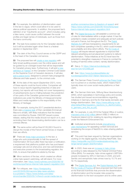30 For example, the definition of disinformation used in the law is vague, which could allow it to be used to silence political opponents. In addition, the proposed law's definition of an "inauthentic account", which includes using a fake name, could cause conflict between the social profiles and legal names of individuals, such as those from the trans community.

31 The task force existed only for the Canadian election, but it will be activated again when there is a federal election in September 2021.

32 The clerk of the Privy Council serves on the CEIPP and is the head of the Canadian civil service.

33 The proposed law will [create a new regulator](https://www.lexology.com/library/detail.aspx?g=05da3abd-c565-4ae7-8f5a-b11b17d716a5) with fairly broad auditing powers over the online space and will be guided by an oversight board that will be responsible for Canada's privacy laws. Furthermore, it will add [a new](https://www.newswire.ca/news-releases/government-of-canada-takes-action-to-protect-canadians-against-hate-speech-and-hate-crimes-887560092.html)  [definition of "hatred" t](https://www.newswire.ca/news-releases/government-of-canada-takes-action-to-protect-canadians-against-hate-speech-and-hate-crimes-887560092.html)o the Canadian Criminal Code based on the Supreme Court of Canada's decisions. It will also [add a peace bond](https://www.newswire.ca/news-releases/government-of-canada-takes-action-to-protect-canadians-against-hate-speech-and-hate-crimes-887560092.html), designed to prevent hate propaganda offences and hate speech, to the criminal code.

34 At the date of this report (September 2021), none of these reports could be found online. Companies will have to issue reports regarding breaches of data and privacy, but reports will most likely not cover transparency of advertisements due to it falling between the jurisdiction of two parts of the Canadian government (democratic institutions are under the Ministry of Intergovernmental Affairs and media regulation is the responsibility of the Ministry of Heritage).

35 For example, during the 2017 presidential election, there was [a massive leak](https://perma.cc/8EMG-QP65) of then candidate Emmanuel Macron's emails, with likely indications that the breach was committed by Russia. CNCCEP issued a press release, stating that the media should not report on it, and reminding them that disseminating disinformation can be a criminal offense.

36 The same action will be fined €135,000 if found to disrupt the morale of the French armed forces or impede their war efforts.

37 There are [three major provisions](https://www.poynter.org/ifcn/anti-misinformation-actions/) to the law: a judge who acts proportionally to halt the spread of misinformation 48 hours after there has been a notification; a requirement that platforms publish who has purchased campaign ads and at what price; and new administrative and executive powers to the broadcasting regulator, the CSA, to ensure that platforms abide by the law.

38 Minor sections of the law, which created an official online hate speech watchdog, will still stand. For more information, see: [https://www.nytimes.com/2020/06/18/](https://www.nytimes.com/2020/06/18/world/europe/france-internet-hate-speech-regulation.html) [world/europe/france-internet-hate-speech-regulation.html.](https://www.nytimes.com/2020/06/18/world/europe/france-internet-hate-speech-regulation.html)

39 For critiques, see: [https://foreignpolicy.](https://foreignpolicy.com/2018/05/29/macrons-fake-news-solution-is-a-problem/) [com/2018/05/29/macrons-fake-news-solution](https://foreignpolicy.com/2018/05/29/macrons-fake-news-solution-is-a-problem/)[is-a-problem/](https://foreignpolicy.com/2018/05/29/macrons-fake-news-solution-is-a-problem/); [https://www.forbes.com/sites/](https://www.forbes.com/sites/simonchandler/2020/05/14/french-social-media-law-is-another-coronavirus-blow-to-freedom-of-speech/) [simonchandler/2020/05/14/french-social-media-law-is-](https://www.forbes.com/sites/simonchandler/2020/05/14/french-social-media-law-is-another-coronavirus-blow-to-freedom-of-speech/) [another-coronavirus-blow-to-freedom-of-speech](https://www.forbes.com/sites/simonchandler/2020/05/14/french-social-media-law-is-another-coronavirus-blow-to-freedom-of-speech/) and [https://www.nytimes.com/2020/06/18/world/europe/](https://www.nytimes.com/2020/06/18/world/europe/france-internet-hate-speech-regulation.html) [france-internet-hate-speech-regulation.html.](https://www.nytimes.com/2020/06/18/world/europe/france-internet-hate-speech-regulation.html)

40 The [Digital Services Act](https://ec.europa.eu/info/strategy/priorities-2019-2024/europe-fit-digital-age/digital-services-act-ensuring-safe-and-accountable-online-environment_en) will establish a common set of rules for intermediaries within a single market. It has the potential to create consistent and adequate ad-tech policies not just in France, but throughout the EU. The [Digital](https://ec.europa.eu/info/strategy/priorities-2019-2024/europe-fit-digital-age/digital-markets-act-ensuring-fair-and-open-digital-markets_en)  [Markets Act w](https://ec.europa.eu/info/strategy/priorities-2019-2024/europe-fit-digital-age/digital-markets-act-ensuring-fair-and-open-digital-markets_en)ill have transparency requirements for adtech companies operating in the EU, which could increase accountability and drive reform efforts. The EU Code of [Practice](https://ec.europa.eu/commission/presscorner/detail/en/ip_21_2585) will require relevant signatories to improve their relevant advertising and ad-placement systems to defund disinformation. These initiatives at the EU-level have the potential to strengthen measures in France to combat the funding of harmful online content, namely disinformation.

41 See p. 3: [https://dserver.bundestag.de/](https://dserver.bundestag.de/btd/19/124/1912489.pdf) [btd/19/124/1912489.pdf.](https://dserver.bundestag.de/btd/19/124/1912489.pdf)

42 See: [https://www.bundeswahlleiter.de/](https://www.bundeswahlleiter.de/bundestagswahlen/2021/fakten-fakenews.html) [bundestagswahlen/2021/fakten-fakenews.html](https://www.bundeswahlleiter.de/bundestagswahlen/2021/fakten-fakenews.html).

43 The German Press Council [enforces the Press Code](https://perma.cc/2S8C-CB3L) but it is joined on a voluntary basis, which means that it typically does not cover social media platforms or their users.

44 The German think tank, Stiftung Neue Verantwortung (SNV), which specialises in technology policy and society, has studied and issued recommendations regarding initiatives in Germany and the EU that tackle domestic and foreign disinformation. See: [https://www.stiftung-nv.de/](https://www.stiftung-nv.de/sites/default/files/regulatory_reactions_to_disinformation_in_germany_and_the_eu.pdf) [sites/default/files/regulatory\\_reactions\\_to\\_disinformation\\_](https://www.stiftung-nv.de/sites/default/files/regulatory_reactions_to_disinformation_in_germany_and_the_eu.pdf) [in\\_germany\\_and\\_the\\_eu.pdf](https://www.stiftung-nv.de/sites/default/files/regulatory_reactions_to_disinformation_in_germany_and_the_eu.pdf).

45 For example, in July 2019 the Federal Office of Justic[e](https://www.loc.gov/law/help/social-media-disinformation/germany.php) [imposed a fine of €2 million \(](https://www.loc.gov/law/help/social-media-disinformation/germany.php)about US\$2.2 million) on Facebook Ireland Ltd for violating its reporting obligations under the Network Enforcement Act.

46 Instituted amendments includ[e strengthening](https://www.technologylawdispatch.com/2020/04/regulatory/german-government-introduces-new-bill-to-amend-germanys-hate-speech-act-establishing-new-requirements-for-social-networks-and-video-sharing-platforms/)  [user mechanisms](https://www.technologylawdispatch.com/2020/04/regulatory/german-government-introduces-new-bill-to-amend-germanys-hate-speech-act-establishing-new-requirements-for-social-networks-and-video-sharing-platforms/) for appealing content removal and broadening the scope of NetzDG to video-sharing platform services.

47 This point has been argued by German organisations working on the digital agenda, including NetzPolitik. See: [https://netzpolitik.org/2020/medienstaatsvertrag-der](https://netzpolitik.org/2020/medienstaatsvertrag-der-lange-kampf-gegen-desinformation/)[lange-kampf-gegen-desinformation](https://netzpolitik.org/2020/medienstaatsvertrag-der-lange-kampf-gegen-desinformation/).

48 In 2020, there was an [increase in hate crimes](https://www.reuters.com/article/us-germany-lgbt-crime-idUSKBN2CL1TN) according to data released by the Federal Criminal Police Office (BKA). For example, hate crimes against LGBTQIA+ people increased by 36% in Germany in 2020, and anti-Semitic and xenophobic hate crimes rose by 15.7% and 19.1% respectively.

49 The [Digital Services Act,](https://ec.europa.eu/info/strategy/priorities-2019-2024/europe-fit-digital-age/digital-services-act-ensuring-safe-and-accountable-online-environment_en) the [Digital Markets Act a](https://ec.europa.eu/info/strategy/priorities-2019-2024/europe-fit-digital-age/digital-markets-act-ensuring-fair-and-open-digital-markets_en)nd the [EU Code of Practice](https://ec.europa.eu/commission/presscorner/detail/en/ip_21_2585) all have proposed text that looks at the financial incentives that promote the dissemination of disinformation and the broader risks posed by disinformation to the tech ecosystem and its online users.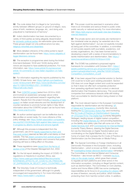50 The code states that it is illegal to be "promoting enmity between different groups on ground of religion, race, place of birth, residence, language, etc., and doing acts prejudicial to maintenance of harmony".

51 India's disinformation has been documented by a variety of third parties as being allegedly disseminated by [domestic political parties](https://www.theatlantic.com/international/archive/2019/04/india-misinformation-election-fake-news/586123/) via nationwide cyber-armies. These groups target not only political actors but also [religious minorities and dissenters](https://www.theatlantic.com/international/archive/2019/04/india-misinformation-election-fake-news/586123/).

52 More detailed criticisms of the online portal to report disinformation can be found here: [https://www.valigiablu.it/](https://www.valigiablu.it/legge-fakenews-censura/) [legge-fakenews-censura.](https://www.valigiablu.it/legge-fakenews-censura/)

53 The exception is programmes aired during the limited time band (between 16:00 and 19:00) during which minors are required to have additional protection. For more information, see: [https://www.article19.org/resources/](https://www.article19.org/resources/article-19-comments-on-new-italian-regulation-on-hate-speech/) [article-19-comments-on-new-italian-regulation-on-hate](https://www.article19.org/resources/article-19-comments-on-new-italian-regulation-on-hate-speech/)[speech](https://www.article19.org/resources/article-19-comments-on-new-italian-regulation-on-hate-speech/).

54 For information regarding the reports published by the COVID-19 task force, see: [https://github.com/taskforce](https://github.com/taskforce-covid-19/documenti)[covid-19/documenti](https://github.com/taskforce-covid-19/documenti) and [https://www.tandfonline.com/doi/](https://www.tandfonline.com/doi/abs/10.1080/23248823.2021.1916858?af=R&journalCode=rita20) [abs/10.1080/23248823.2021.1916858?af=](https://www.tandfonline.com/doi/abs/10.1080/23248823.2021.1916858?af=R&journalCode=rita20) [R&journalCode=rita20.](https://www.tandfonline.com/doi/abs/10.1080/23248823.2021.1916858?af=R&journalCode=rita20)

55 Their [CONTRO project](http://www.unar.it/contro/) lasted from 2018 to 2020 and involved an awareness campaign about online discrimination and partnered research regarding hate speech. Results from the project include a mapping of hate [speech](http://www.unar.it/contro/) on Italian social networks and the development of counter-narratives to promote human rights in Italy. More information about the CONTRO project can be found here: [http://www.unar.it/contro](http://www.unar.it/contro/).

56 An author-centred approach can be ineffective due to fake profiles on social media. For more criticisms of this policy strategy, see: [https://british-association-comparative](https://british-association-comparative-law.org/2021/03/26/italys-fight-against-fake-news-a-work-in-progress-by-alberto-nicotina-and-simone-riganelli/)[law.org/2021/03/26/italys-fight-against-fake-news-a-work](https://british-association-comparative-law.org/2021/03/26/italys-fight-against-fake-news-a-work-in-progress-by-alberto-nicotina-and-simone-riganelli/)[in-progress-by-alberto-nicotina-and-simone-riganelli.](https://british-association-comparative-law.org/2021/03/26/italys-fight-against-fake-news-a-work-in-progress-by-alberto-nicotina-and-simone-riganelli/)

57 Although this process is independent from the government, use of it is heavily supported by them and [they post content d](https://www.article19.org/resources/prohibitions-of-false-covid-information-must-be-amended/)eemed as fake with a red stamp on their website. This has [drawn concerns from activist groups](https://www.article19.org/resources/prohibitions-of-false-covid-information-must-be-amended/) over vague definitions of disinformation and concerns that public shaming will have a chilling effect on the press.

58 These regulations were [issued from the](https://www.article19.org/resources/prohibitions-of-false-covid-information-must-be-amended/) terms of [section 27\(2\)](https://www.article19.org/resources/prohibitions-of-false-covid-information-must-be-amended/) of the Disaster Management Act, 2002.

59 For the full report detailing the impact of COVID-19 regulations on freedoms in southern Africa, see: [https://www.usaid.gov/sites/default/files/documents/](https://www.usaid.gov/sites/default/files/documents/INTERNEWS_EFFECTS_OF_COVID19_ON_FREEDOM_OF_EXPRESSION_IN_SELECT_SADC_COUNTRIES_2.pdf) INTERNEWS\_EFFECTS\_OF\_COVID19\_ON\_FREEDOM [OF\\_EXPRESSION\\_IN\\_SELECT\\_SADC\\_COUNTRIES\\_2.pdf.](https://www.usaid.gov/sites/default/files/documents/INTERNEWS_EFFECTS_OF_COVID19_ON_FREEDOM_OF_EXPRESSION_IN_SELECT_SADC_COUNTRIES_2.pdf)

60 The Voluntary Code of Conduct is technically independent of the government, although it is greatly encouraged and supported by it. For more information, see: <https://www.real411.org/about>.

61 This power could be exercised in scenarios when there is an immediate and serious threat to public order, public security or national security. For more information, see: [https://edri.org/our-work/spain-new-law-threatens](https://edri.org/our-work/spain-new-law-threatens-internet-freedoms/)[internet-freedoms](https://edri.org/our-work/spain-new-law-threatens-internet-freedoms/).

62 The private sector and civil society are mentioned in the ministerial order as playing "an essential role in the fight against disinformation", but are not explicitly included as being part of the committee. In addition, a committee of civil society experts (with journalists, academics, civil society organisations, etc.) has been formed and is developing a report with a series of recommendations to tackle misinformation and disinformation. See: [https://](https://www.boe.es/eli/es/o/2020/10/30/pcm1030) [www.boe.es/eli/es/o/2020/10/30/pcm1030](https://www.boe.es/eli/es/o/2020/10/30/pcm1030).

63 The DCMS has published a proposed regime framework for consultation until October 2021: [https://](https://assets.publishing.service.gov.uk/government/uploads/system/uploads/attachment_data/file/1003913/Digital_Competition_Consultation_v2.pdf) [assets.publishing.service.gov.uk/government/uploads/](https://assets.publishing.service.gov.uk/government/uploads/system/uploads/attachment_data/file/1003913/Digital_Competition_Consultation_v2.pdf) [system/uploads/attachment\\_data/file/1003913/Digital\\_](https://assets.publishing.service.gov.uk/government/uploads/system/uploads/attachment_data/file/1003913/Digital_Competition_Consultation_v2.pdf) [Competition\\_Consultation\\_v2.pdf](https://assets.publishing.service.gov.uk/government/uploads/system/uploads/attachment_data/file/1003913/Digital_Competition_Consultation_v2.pdf).

64 It has been argued that a potential solution to Section 230 could be to build upon existing precedent. Section 230 does not cover illegal content and could be expanded so that it does not offer tech companies protection from spreading significant harmful content or electoral disinformation that threatens democracy. This would shield companies from extraneous lawsuits while still holding them accountable for disinformation being shared on their platform.

65 The most relevant teams in the European Commission responsible for disinformation are the following: [VP](https://ec.europa.eu/commission/commissioners/2019-2024/jourova_en)  [of Values and Transparency](https://ec.europa.eu/commission/commissioners/2019-2024/jourova_en) (currently Véra Jourová), leading the [EU Democracy Action Plan](https://ec.europa.eu/commission/presscorner/detail/en/IP_20_2250) and monitoring the [EU Code of Practice on Disinformation](https://digital-strategy.ec.europa.eu/en/policies/code-practice-disinformation)); [Executive](https://ec.europa.eu/commission/commissioners/2019-2024/vestager_en)  [VP of Europe Fit for The Digital Age](https://ec.europa.eu/commission/commissioners/2019-2024/vestager_en) (currently Margrethe Vestager), leading issues of digital market competition, including the [Digital Markets Act](https://ec.europa.eu/info/strategy/priorities-2019-2024/europe-fit-digital-age/digital-markets-act-ensuring-fair-and-open-digital-markets_en) and providing leadership on the liability and safety rules that will come out of the [Digital Services Act\)](https://digital-strategy.ec.europa.eu/en/policies/digital-services-act-package); and [Commissioner for Internal Market](https://ec.europa.eu/commission/commissioners/2019-2024/breton_en) (currently Thierry Breton), steering the Digital Services Act (via the Directorate on Digital Transformation) and coordinating on the Digital Markets Act. It also is the home of a team that oversees the EU Code of Practice on Disinformation (via the Directorate on Media Policy).

66 The Special Committee on Foreign Interference in all Democratic Processes in the European Union, including Disinformation – which is known as INGE – is responsible for [investigating foreign electoral disinformation](https://www.europarl.europa.eu/committees/en/inge/home/highlights) campaigns. The Committee on the Internal Market and Consumer Protection – also known as IMCO – oversees [the EU's](https://www.europarl.europa.eu/committees/en/imco/about)  [rules on the single market, w](https://www.europarl.europa.eu/committees/en/imco/about)hich gives them power to regulate ad-tech platforms and other actors in the information ecosystem, including on illegal harmful content, such as disinformation. The Committee on Civil Liberties, Justice and Home Affairs (LIBE) has some overlapping responsibilities as its focus is on [providing EU citizens](https://www.europarl.europa.eu/committees/en/libe/about) with an area of freedom, security and justice, which includes protecting them from harmful content online. In addition,